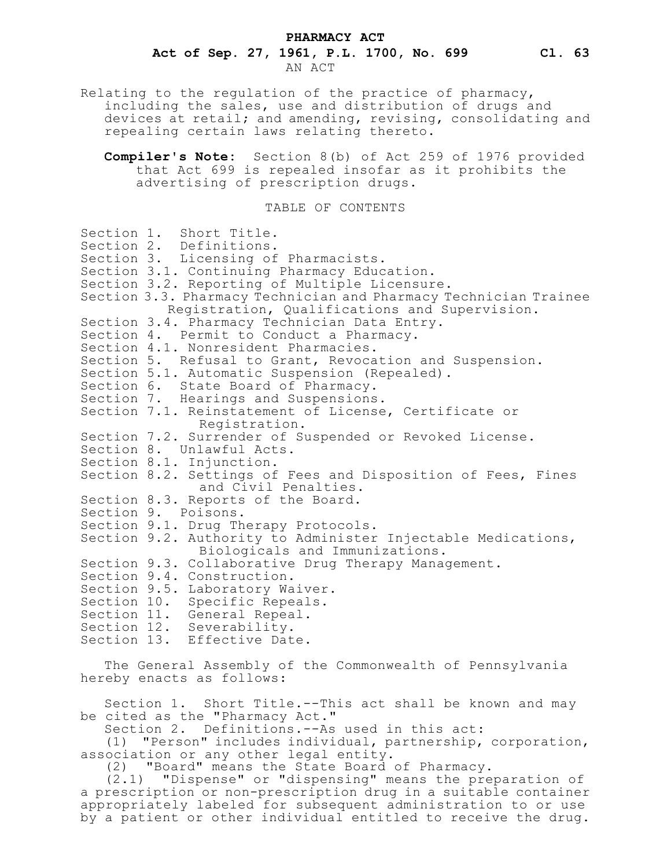#### **PHARMACY ACT**

# **Act of Sep. 27, 1961, P.L. 1700, No. 699 Cl. 63**

AN ACT

Relating to the regulation of the practice of pharmacy, including the sales, use and distribution of drugs and devices at retail; and amending, revising, consolidating and repealing certain laws relating thereto.

**Compiler's Note:** Section 8(b) of Act 259 of 1976 provided that Act 699 is repealed insofar as it prohibits the advertising of prescription drugs.

## TABLE OF CONTENTS

Section 1. Short Title. Section 2. Definitions. Section 3. Licensing of Pharmacists. Section 3.1. Continuing Pharmacy Education. Section 3.2. Reporting of Multiple Licensure. Section 3.3. Pharmacy Technician and Pharmacy Technician Trainee Registration, Qualifications and Supervision. Section 3.4. Pharmacy Technician Data Entry. Section 4. Permit to Conduct a Pharmacy. Section 4.1. Nonresident Pharmacies. Section 5. Refusal to Grant, Revocation and Suspension. Section 5.1. Automatic Suspension (Repealed). Section 6. State Board of Pharmacy. Section 7. Hearings and Suspensions. Section 7.1. Reinstatement of License, Certificate or Registration. Section 7.2. Surrender of Suspended or Revoked License. Section 8. Unlawful Acts. Section 8.1. Injunction. Section 8.2. Settings of Fees and Disposition of Fees, Fines and Civil Penalties. Section 8.3. Reports of the Board. Section 9. Poisons. Section 9.1. Drug Therapy Protocols. Section 9.2. Authority to Administer Injectable Medications, Biologicals and Immunizations. Section 9.3. Collaborative Drug Therapy Management. Section 9.4. Construction. Section 9.5. Laboratory Waiver. Section 10. Specific Repeals. Section 11. General Repeal. Section 12. Severability. Section 13. Effective Date.

The General Assembly of the Commonwealth of Pennsylvania hereby enacts as follows:

Section 1. Short Title.--This act shall be known and may be cited as the "Pharmacy Act."

Section 2. Definitions.--As used in this act:

(1) "Person" includes individual, partnership, corporation, association or any other legal entity.

(2) "Board" means the State Board of Pharmacy.

(2.1) "Dispense" or "dispensing" means the preparation of a prescription or non-prescription drug in a suitable container appropriately labeled for subsequent administration to or use by a patient or other individual entitled to receive the drug.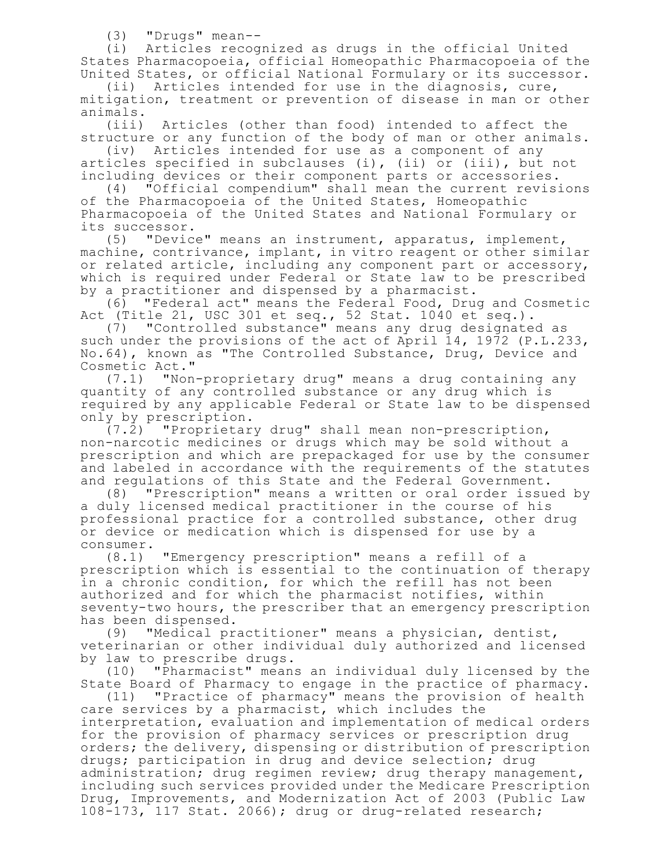(3) "Drugs" mean--

(i) Articles recognized as drugs in the official United States Pharmacopoeia, official Homeopathic Pharmacopoeia of the United States, or official National Formulary or its successor.

(ii) Articles intended for use in the diagnosis, cure, mitigation, treatment or prevention of disease in man or other animals.

(iii) Articles (other than food) intended to affect the structure or any function of the body of man or other animals.

(iv) Articles intended for use as a component of any articles specified in subclauses (i), (ii) or (iii), but not including devices or their component parts or accessories.

(4) "Official compendium" shall mean the current revisions of the Pharmacopoeia of the United States, Homeopathic Pharmacopoeia of the United States and National Formulary or its successor.

(5) "Device" means an instrument, apparatus, implement, machine, contrivance, implant, in vitro reagent or other similar or related article, including any component part or accessory, which is required under Federal or State law to be prescribed by a practitioner and dispensed by a pharmacist.

(6) "Federal act" means the Federal Food, Drug and Cosmetic Act (Title 21, USC 301 et seq., 52 Stat. 1040 et seq.).

(7) "Controlled substance" means any drug designated as such under the provisions of the act of April 14, 1972 (P.L.233, No.64), known as "The Controlled Substance, Drug, Device and Cosmetic Act."

(7.1) "Non-proprietary drug" means a drug containing any quantity of any controlled substance or any drug which is required by any applicable Federal or State law to be dispensed only by prescription.

(7.2) "Proprietary drug" shall mean non-prescription, non-narcotic medicines or drugs which may be sold without a prescription and which are prepackaged for use by the consumer and labeled in accordance with the requirements of the statutes and regulations of this State and the Federal Government.

(8) "Prescription" means a written or oral order issued by a duly licensed medical practitioner in the course of his professional practice for a controlled substance, other drug or device or medication which is dispensed for use by a consumer.

(8.1) "Emergency prescription" means a refill of a prescription which is essential to the continuation of therapy in a chronic condition, for which the refill has not been authorized and for which the pharmacist notifies, within seventy-two hours, the prescriber that an emergency prescription has been dispensed.

(9) "Medical practitioner" means a physician, dentist, veterinarian or other individual duly authorized and licensed by law to prescribe drugs.

(10) "Pharmacist" means an individual duly licensed by the State Board of Pharmacy to engage in the practice of pharmacy.

(11) "Practice of pharmacy" means the provision of health care services by a pharmacist, which includes the interpretation, evaluation and implementation of medical orders for the provision of pharmacy services or prescription drug orders; the delivery, dispensing or distribution of prescription drugs; participation in drug and device selection; drug administration; drug regimen review; drug therapy management, including such services provided under the Medicare Prescription Drug, Improvements, and Modernization Act of 2003 (Public Law 108-173, 117 Stat. 2066); drug or drug-related research;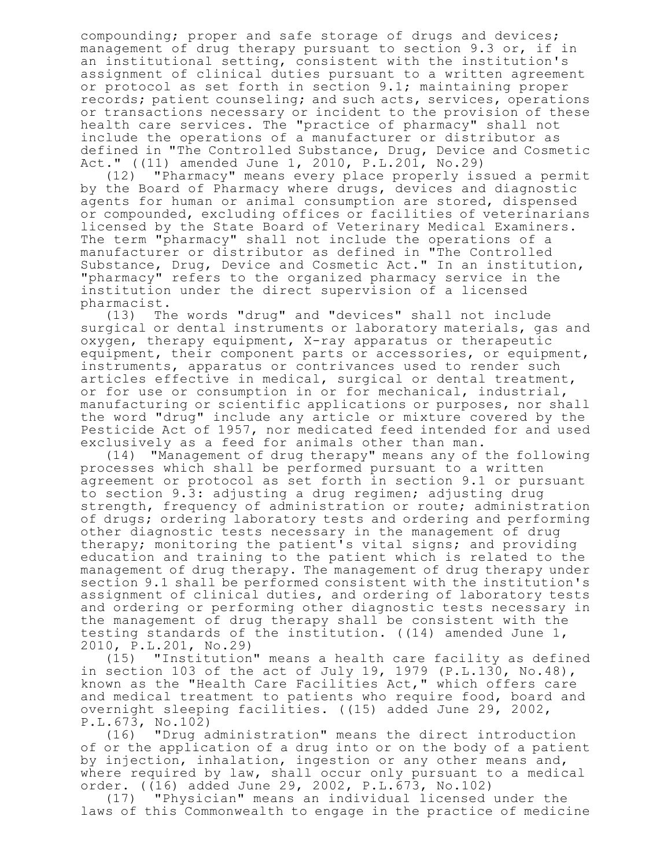compounding; proper and safe storage of drugs and devices; management of drug therapy pursuant to section 9.3 or, if in an institutional setting, consistent with the institution's assignment of clinical duties pursuant to a written agreement or protocol as set forth in section 9.1; maintaining proper records; patient counseling; and such acts, services, operations or transactions necessary or incident to the provision of these health care services. The "practice of pharmacy" shall not include the operations of a manufacturer or distributor as defined in "The Controlled Substance, Drug, Device and Cosmetic Act." ((11) amended June 1, 2010, P.L.201, No.29)

(12) "Pharmacy" means every place properly issued a permit by the Board of Pharmacy where drugs, devices and diagnostic agents for human or animal consumption are stored, dispensed or compounded, excluding offices or facilities of veterinarians licensed by the State Board of Veterinary Medical Examiners. The term "pharmacy" shall not include the operations of a manufacturer or distributor as defined in "The Controlled Substance, Drug, Device and Cosmetic Act." In an institution, "pharmacy" refers to the organized pharmacy service in the institution under the direct supervision of a licensed pharmacist.

(13) The words "drug" and "devices" shall not include surgical or dental instruments or laboratory materials, gas and oxygen, therapy equipment, X-ray apparatus or therapeutic equipment, their component parts or accessories, or equipment, instruments, apparatus or contrivances used to render such articles effective in medical, surgical or dental treatment, or for use or consumption in or for mechanical, industrial, manufacturing or scientific applications or purposes, nor shall the word "drug" include any article or mixture covered by the Pesticide Act of 1957, nor medicated feed intended for and used exclusively as a feed for animals other than man.

(14) "Management of drug therapy" means any of the following processes which shall be performed pursuant to a written agreement or protocol as set forth in section 9.1 or pursuant to section 9.3: adjusting a drug regimen; adjusting drug strength, frequency of administration or route; administration of drugs; ordering laboratory tests and ordering and performing other diagnostic tests necessary in the management of drug therapy; monitoring the patient's vital signs; and providing education and training to the patient which is related to the management of drug therapy. The management of drug therapy under section 9.1 shall be performed consistent with the institution's assignment of clinical duties, and ordering of laboratory tests and ordering or performing other diagnostic tests necessary in the management of drug therapy shall be consistent with the testing standards of the institution. ((14) amended June 1, 2010, P.L.201, No.29)

"Institution" means a health care facility as defined in section 103 of the act of July 19, 1979 (P.L.130, No.48), known as the "Health Care Facilities Act," which offers care and medical treatment to patients who require food, board and overnight sleeping facilities. ((15) added June 29, 2002, P.L.673, No.102)

(16) "Drug administration" means the direct introduction of or the application of a drug into or on the body of a patient by injection, inhalation, ingestion or any other means and, where required by law, shall occur only pursuant to a medical order. ((16) added June 29, 2002, P.L.673, No.102)

(17) "Physician" means an individual licensed under the laws of this Commonwealth to engage in the practice of medicine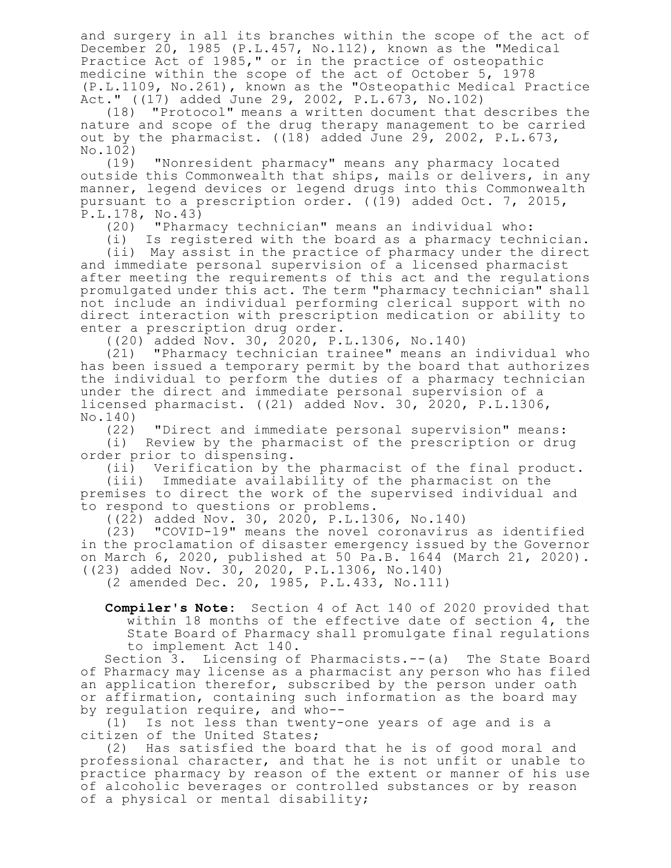and surgery in all its branches within the scope of the act of December 20, 1985 (P.L.457, No.112), known as the "Medical Practice Act of 1985," or in the practice of osteopathic medicine within the scope of the act of October 5, 1978 (P.L.1109, No.261), known as the "Osteopathic Medical Practice Act." ((17) added June 29, 2002, P.L.673, No.102)

(18) "Protocol" means a written document that describes the nature and scope of the drug therapy management to be carried out by the pharmacist. ((18) added June 29, 2002, P.L.673, No.102)

(19) "Nonresident pharmacy" means any pharmacy located outside this Commonwealth that ships, mails or delivers, in any manner, legend devices or legend drugs into this Commonwealth pursuant to a prescription order. ((19) added Oct. 7, 2015, P.L.178, No.43)

(20) "Pharmacy technician" means an individual who:

(i) Is registered with the board as a pharmacy technician.

(ii) May assist in the practice of pharmacy under the direct and immediate personal supervision of a licensed pharmacist after meeting the requirements of this act and the regulations promulgated under this act. The term "pharmacy technician" shall not include an individual performing clerical support with no direct interaction with prescription medication or ability to enter a prescription drug order.

((20) added Nov. 30, 2020, P.L.1306, No.140)

(21) "Pharmacy technician trainee" means an individual who has been issued a temporary permit by the board that authorizes the individual to perform the duties of a pharmacy technician under the direct and immediate personal supervision of a licensed pharmacist. ((21) added Nov. 30, 2020, P.L.1306, No.140)

(22) "Direct and immediate personal supervision" means:

(i) Review by the pharmacist of the prescription or drug order prior to dispensing.

(ii) Verification by the pharmacist of the final product.

(iii) Immediate availability of the pharmacist on the premises to direct the work of the supervised individual and to respond to questions or problems.

((22) added Nov. 30, 2020, P.L.1306, No.140)

(23) "COVID-19" means the novel coronavirus as identified in the proclamation of disaster emergency issued by the Governor on March 6, 2020, published at 50 Pa.B. 1644 (March 21, 2020). ((23) added Nov. 30, 2020, P.L.1306, No.140)

(2 amended Dec. 20, 1985, P.L.433, No.111)

**Compiler's Note:** Section 4 of Act 140 of 2020 provided that within 18 months of the effective date of section 4, the State Board of Pharmacy shall promulgate final regulations to implement Act 140.

Section 3. Licensing of Pharmacists.--(a) The State Board of Pharmacy may license as a pharmacist any person who has filed an application therefor, subscribed by the person under oath or affirmation, containing such information as the board may by regulation require, and who--

(1) Is not less than twenty-one years of age and is a citizen of the United States;

(2) Has satisfied the board that he is of good moral and professional character, and that he is not unfit or unable to practice pharmacy by reason of the extent or manner of his use of alcoholic beverages or controlled substances or by reason of a physical or mental disability;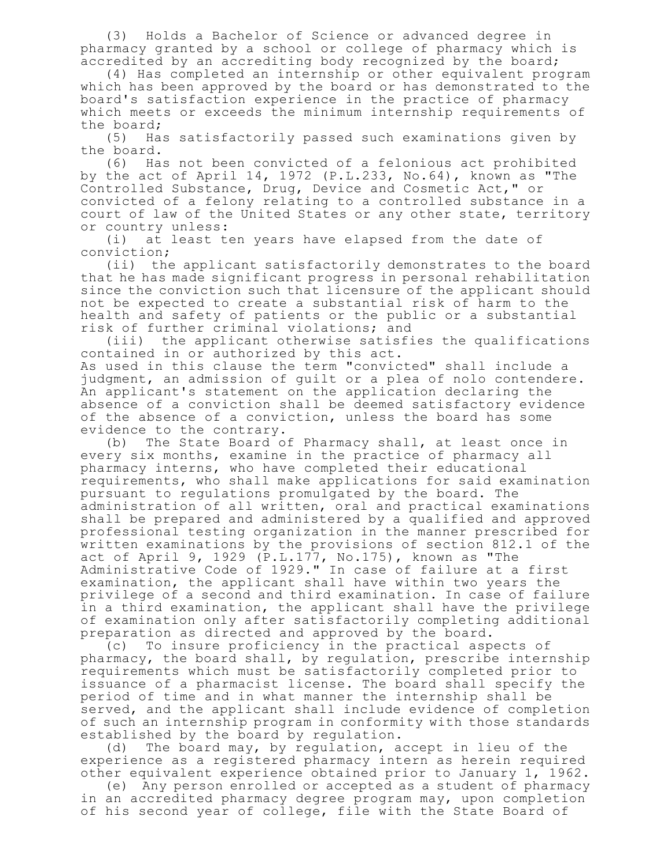(3) Holds a Bachelor of Science or advanced degree in pharmacy granted by a school or college of pharmacy which is accredited by an accrediting body recognized by the board;

(4) Has completed an internship or other equivalent program which has been approved by the board or has demonstrated to the board's satisfaction experience in the practice of pharmacy which meets or exceeds the minimum internship requirements of the board;

(5) Has satisfactorily passed such examinations given by the board.

(6) Has not been convicted of a felonious act prohibited by the act of April 14, 1972 (P.L.233, No.64), known as "The Controlled Substance, Drug, Device and Cosmetic Act," or convicted of a felony relating to a controlled substance in a court of law of the United States or any other state, territory or country unless:

(i) at least ten years have elapsed from the date of conviction;

(ii) the applicant satisfactorily demonstrates to the board that he has made significant progress in personal rehabilitation since the conviction such that licensure of the applicant should not be expected to create a substantial risk of harm to the health and safety of patients or the public or a substantial risk of further criminal violations; and

(iii) the applicant otherwise satisfies the qualifications contained in or authorized by this act. As used in this clause the term "convicted" shall include a judgment, an admission of guilt or a plea of nolo contendere. An applicant's statement on the application declaring the absence of a conviction shall be deemed satisfactory evidence of the absence of a conviction, unless the board has some evidence to the contrary.

(b) The State Board of Pharmacy shall, at least once in every six months, examine in the practice of pharmacy all pharmacy interns, who have completed their educational requirements, who shall make applications for said examination pursuant to regulations promulgated by the board. The administration of all written, oral and practical examinations shall be prepared and administered by a qualified and approved professional testing organization in the manner prescribed for written examinations by the provisions of section 812.1 of the act of April 9, 1929 (P.L.177, No.175), known as "The Administrative Code of 1929." In case of failure at a first examination, the applicant shall have within two years the privilege of a second and third examination. In case of failure in a third examination, the applicant shall have the privilege of examination only after satisfactorily completing additional preparation as directed and approved by the board.

(c) To insure proficiency in the practical aspects of pharmacy, the board shall, by regulation, prescribe internship requirements which must be satisfactorily completed prior to issuance of a pharmacist license. The board shall specify the period of time and in what manner the internship shall be served, and the applicant shall include evidence of completion of such an internship program in conformity with those standards established by the board by regulation.

(d) The board may, by regulation, accept in lieu of the experience as a registered pharmacy intern as herein required other equivalent experience obtained prior to January 1, 1962.

(e) Any person enrolled or accepted as a student of pharmacy in an accredited pharmacy degree program may, upon completion of his second year of college, file with the State Board of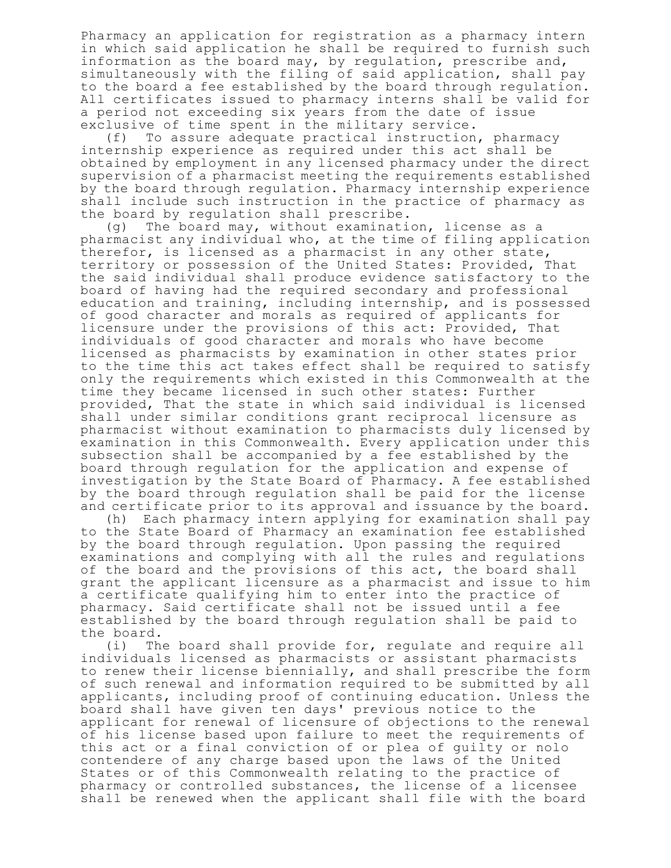Pharmacy an application for registration as a pharmacy intern in which said application he shall be required to furnish such information as the board may, by regulation, prescribe and, simultaneously with the filing of said application, shall pay to the board a fee established by the board through regulation. All certificates issued to pharmacy interns shall be valid for a period not exceeding six years from the date of issue exclusive of time spent in the military service.

(f) To assure adequate practical instruction, pharmacy internship experience as required under this act shall be obtained by employment in any licensed pharmacy under the direct supervision of a pharmacist meeting the requirements established by the board through regulation. Pharmacy internship experience shall include such instruction in the practice of pharmacy as the board by regulation shall prescribe.

(g) The board may, without examination, license as a pharmacist any individual who, at the time of filing application therefor, is licensed as a pharmacist in any other state, territory or possession of the United States: Provided, That the said individual shall produce evidence satisfactory to the board of having had the required secondary and professional education and training, including internship, and is possessed of good character and morals as required of applicants for licensure under the provisions of this act: Provided, That individuals of good character and morals who have become licensed as pharmacists by examination in other states prior to the time this act takes effect shall be required to satisfy only the requirements which existed in this Commonwealth at the time they became licensed in such other states: Further provided, That the state in which said individual is licensed shall under similar conditions grant reciprocal licensure as pharmacist without examination to pharmacists duly licensed by examination in this Commonwealth. Every application under this subsection shall be accompanied by a fee established by the board through regulation for the application and expense of investigation by the State Board of Pharmacy. A fee established by the board through regulation shall be paid for the license and certificate prior to its approval and issuance by the board.

(h) Each pharmacy intern applying for examination shall pay to the State Board of Pharmacy an examination fee established by the board through regulation. Upon passing the required examinations and complying with all the rules and regulations of the board and the provisions of this act, the board shall grant the applicant licensure as a pharmacist and issue to him a certificate qualifying him to enter into the practice of pharmacy. Said certificate shall not be issued until a fee established by the board through regulation shall be paid to the board.

(i) The board shall provide for, regulate and require all individuals licensed as pharmacists or assistant pharmacists to renew their license biennially, and shall prescribe the form of such renewal and information required to be submitted by all applicants, including proof of continuing education. Unless the board shall have given ten days' previous notice to the applicant for renewal of licensure of objections to the renewal of his license based upon failure to meet the requirements of this act or a final conviction of or plea of guilty or nolo contendere of any charge based upon the laws of the United States or of this Commonwealth relating to the practice of pharmacy or controlled substances, the license of a licensee shall be renewed when the applicant shall file with the board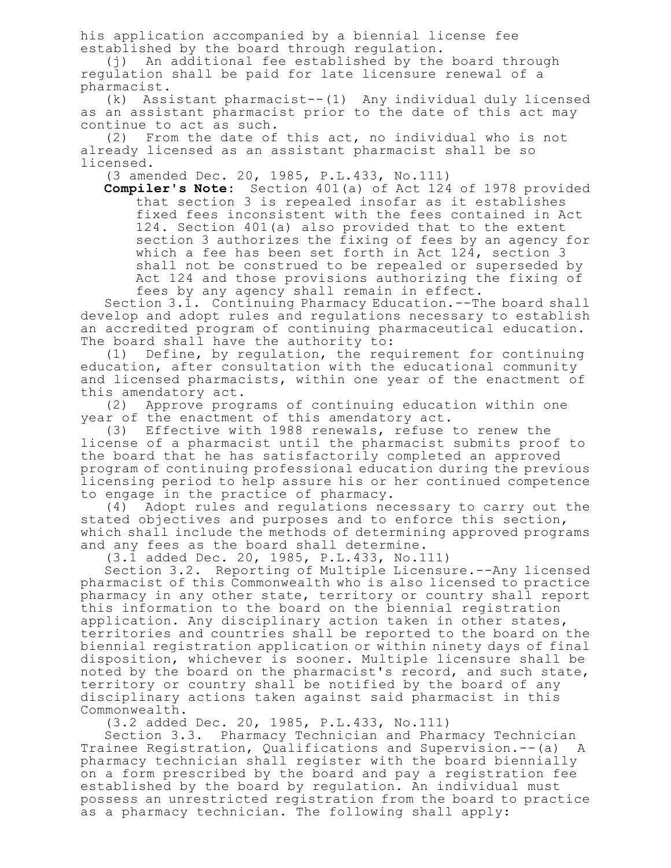his application accompanied by a biennial license fee established by the board through regulation.

(j) An additional fee established by the board through regulation shall be paid for late licensure renewal of a pharmacist.

(k) Assistant pharmacist--(1) Any individual duly licensed as an assistant pharmacist prior to the date of this act may continue to act as such.

(2) From the date of this act, no individual who is not already licensed as an assistant pharmacist shall be so licensed.

(3 amended Dec. 20, 1985, P.L.433, No.111)

**Compiler's Note:** Section 401(a) of Act 124 of 1978 provided that section 3 is repealed insofar as it establishes fixed fees inconsistent with the fees contained in Act 124. Section 401(a) also provided that to the extent section 3 authorizes the fixing of fees by an agency for which a fee has been set forth in Act 124, section 3 shall not be construed to be repealed or superseded by Act 124 and those provisions authorizing the fixing of fees by any agency shall remain in effect.

Section 3.1. Continuing Pharmacy Education.--The board shall develop and adopt rules and regulations necessary to establish an accredited program of continuing pharmaceutical education. The board shall have the authority to:

(1) Define, by regulation, the requirement for continuing education, after consultation with the educational community and licensed pharmacists, within one year of the enactment of this amendatory act.

(2) Approve programs of continuing education within one year of the enactment of this amendatory act.

(3) Effective with 1988 renewals, refuse to renew the license of a pharmacist until the pharmacist submits proof to the board that he has satisfactorily completed an approved program of continuing professional education during the previous licensing period to help assure his or her continued competence to engage in the practice of pharmacy.

(4) Adopt rules and regulations necessary to carry out the stated objectives and purposes and to enforce this section, which shall include the methods of determining approved programs and any fees as the board shall determine.

(3.1 added Dec. 20, 1985, P.L.433, No.111)

Section 3.2. Reporting of Multiple Licensure.--Any licensed pharmacist of this Commonwealth who is also licensed to practice pharmacy in any other state, territory or country shall report this information to the board on the biennial registration application. Any disciplinary action taken in other states, territories and countries shall be reported to the board on the biennial registration application or within ninety days of final disposition, whichever is sooner. Multiple licensure shall be noted by the board on the pharmacist's record, and such state, territory or country shall be notified by the board of any disciplinary actions taken against said pharmacist in this Commonwealth.

(3.2 added Dec. 20, 1985, P.L.433, No.111)

Section 3.3. Pharmacy Technician and Pharmacy Technician Trainee Registration, Qualifications and Supervision.--(a) A pharmacy technician shall register with the board biennially on a form prescribed by the board and pay a registration fee established by the board by regulation. An individual must possess an unrestricted registration from the board to practice as a pharmacy technician. The following shall apply: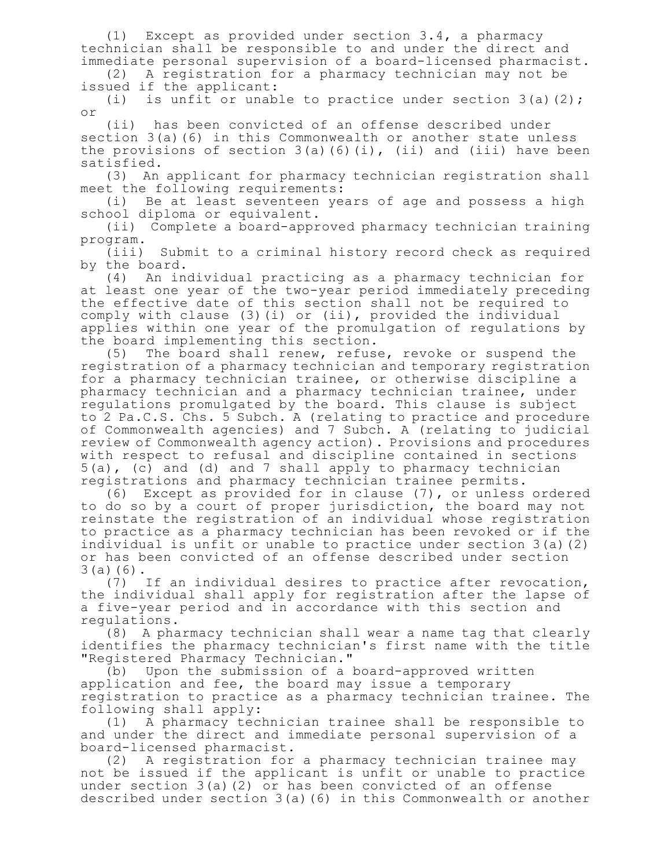(1) Except as provided under section 3.4, a pharmacy technician shall be responsible to and under the direct and immediate personal supervision of a board-licensed pharmacist.

(2) A registration for a pharmacy technician may not be issued if the applicant:<br>(i) is unfit or unab.

is unfit or unable to practice under section  $3(a)(2)$ ; or

(ii) has been convicted of an offense described under section 3(a)(6) in this Commonwealth or another state unless the provisions of section  $3(a)$  (6)(i), (ii) and (iii) have been satisfied.

(3) An applicant for pharmacy technician registration shall meet the following requirements:

(i) Be at least seventeen years of age and possess a high school diploma or equivalent.

(ii) Complete a board-approved pharmacy technician training program.

(iii) Submit to a criminal history record check as required by the board.

(4) An individual practicing as a pharmacy technician for at least one year of the two-year period immediately preceding the effective date of this section shall not be required to comply with clause (3)(i) or (ii), provided the individual applies within one year of the promulgation of regulations by the board implementing this section.

(5) The board shall renew, refuse, revoke or suspend the registration of a pharmacy technician and temporary registration for a pharmacy technician trainee, or otherwise discipline a pharmacy technician and a pharmacy technician trainee, under regulations promulgated by the board. This clause is subject to 2 Pa.C.S. Chs. 5 Subch. A (relating to practice and procedure of Commonwealth agencies) and 7 Subch. A (relating to judicial review of Commonwealth agency action). Provisions and procedures with respect to refusal and discipline contained in sections 5(a), (c) and (d) and 7 shall apply to pharmacy technician registrations and pharmacy technician trainee permits.

(6) Except as provided for in clause (7), or unless ordered to do so by a court of proper jurisdiction, the board may not reinstate the registration of an individual whose registration to practice as a pharmacy technician has been revoked or if the individual is unfit or unable to practice under section 3(a)(2) or has been convicted of an offense described under section 3(a)(6).

(7) If an individual desires to practice after revocation, the individual shall apply for registration after the lapse of a five-year period and in accordance with this section and regulations.

(8) A pharmacy technician shall wear a name tag that clearly identifies the pharmacy technician's first name with the title "Registered Pharmacy Technician."

(b) Upon the submission of a board-approved written application and fee, the board may issue a temporary registration to practice as a pharmacy technician trainee. The following shall apply:

(1) A pharmacy technician trainee shall be responsible to and under the direct and immediate personal supervision of a board-licensed pharmacist.

(2) A registration for a pharmacy technician trainee may not be issued if the applicant is unfit or unable to practice under section 3(a)(2) or has been convicted of an offense described under section 3(a)(6) in this Commonwealth or another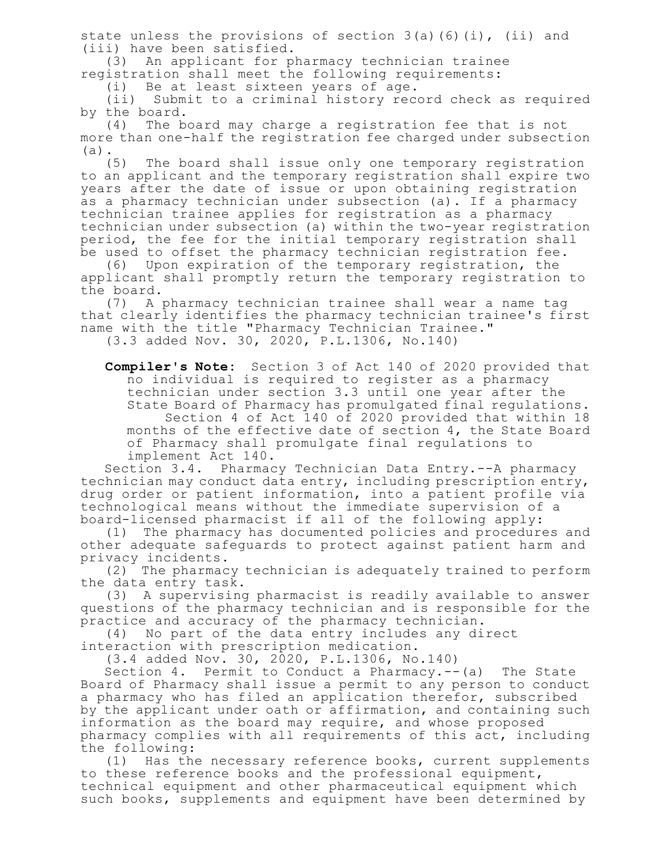state unless the provisions of section  $3(a)$  (6)(i), (ii) and (iii) have been satisfied.

(3) An applicant for pharmacy technician trainee registration shall meet the following requirements:

(i) Be at least sixteen years of age.

(ii) Submit to a criminal history record check as required by the board.

(4) The board may charge a registration fee that is not more than one-half the registration fee charged under subsection (a).

(5) The board shall issue only one temporary registration to an applicant and the temporary registration shall expire two years after the date of issue or upon obtaining registration as a pharmacy technician under subsection (a). If a pharmacy technician trainee applies for registration as a pharmacy technician under subsection (a) within the two-year registration period, the fee for the initial temporary registration shall be used to offset the pharmacy technician registration fee.

(6) Upon expiration of the temporary registration, the applicant shall promptly return the temporary registration to the board.

(7) A pharmacy technician trainee shall wear a name tag that clearly identifies the pharmacy technician trainee's first name with the title "Pharmacy Technician Trainee." (3.3 added Nov. 30, 2020, P.L.1306, No.140)

**Compiler's Note:** Section 3 of Act 140 of 2020 provided that no individual is required to register as a pharmacy technician under section 3.3 until one year after the State Board of Pharmacy has promulgated final regulations. Section 4 of Act 140 of 2020 provided that within 18 months of the effective date of section 4, the State Board of Pharmacy shall promulgate final regulations to implement Act 140.

Section 3.4. Pharmacy Technician Data Entry.--A pharmacy technician may conduct data entry, including prescription entry, drug order or patient information, into a patient profile via technological means without the immediate supervision of a board-licensed pharmacist if all of the following apply:

(1) The pharmacy has documented policies and procedures and other adequate safeguards to protect against patient harm and privacy incidents.

(2) The pharmacy technician is adequately trained to perform the data entry task.

(3) A supervising pharmacist is readily available to answer questions of the pharmacy technician and is responsible for the practice and accuracy of the pharmacy technician.

(4) No part of the data entry includes any direct

interaction with prescription medication.

(3.4 added Nov. 30, 2020, P.L.1306, No.140)

Section 4. Permit to Conduct a Pharmacy.--(a) The State Board of Pharmacy shall issue a permit to any person to conduct a pharmacy who has filed an application therefor, subscribed by the applicant under oath or affirmation, and containing such information as the board may require, and whose proposed pharmacy complies with all requirements of this act, including the following:

(1) Has the necessary reference books, current supplements to these reference books and the professional equipment, technical equipment and other pharmaceutical equipment which such books, supplements and equipment have been determined by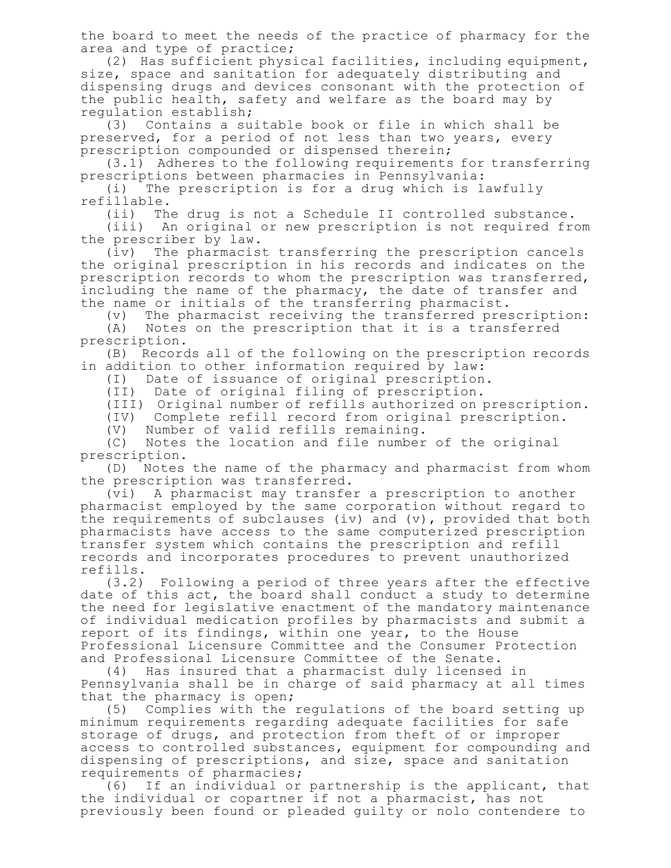the board to meet the needs of the practice of pharmacy for the area and type of practice;

(2) Has sufficient physical facilities, including equipment, size, space and sanitation for adequately distributing and dispensing drugs and devices consonant with the protection of the public health, safety and welfare as the board may by regulation establish;

(3) Contains a suitable book or file in which shall be preserved, for a period of not less than two years, every prescription compounded or dispensed therein;

(3.1) Adheres to the following requirements for transferring prescriptions between pharmacies in Pennsylvania:

(i) The prescription is for a drug which is lawfully refillable.

(ii) The drug is not a Schedule II controlled substance.

(iii) An original or new prescription is not required from the prescriber by law.

(iv) The pharmacist transferring the prescription cancels the original prescription in his records and indicates on the prescription records to whom the prescription was transferred, including the name of the pharmacy, the date of transfer and the name or initials of the transferring pharmacist.

(v) The pharmacist receiving the transferred prescription:

(A) Notes on the prescription that it is a transferred prescription.

(B) Records all of the following on the prescription records in addition to other information required by law:

(I) Date of issuance of original prescription.

(II) Date of original filing of prescription.

(III) Original number of refills authorized on prescription.

(IV) Complete refill record from original prescription.

(V) Number of valid refills remaining.

(C) Notes the location and file number of the original prescription.

(D) Notes the name of the pharmacy and pharmacist from whom the prescription was transferred.

(vi) A pharmacist may transfer a prescription to another pharmacist employed by the same corporation without regard to the requirements of subclauses (iv) and  $(v)$ , provided that both pharmacists have access to the same computerized prescription transfer system which contains the prescription and refill records and incorporates procedures to prevent unauthorized refills.

(3.2) Following a period of three years after the effective date of this act, the board shall conduct a study to determine the need for legislative enactment of the mandatory maintenance of individual medication profiles by pharmacists and submit a report of its findings, within one year, to the House Professional Licensure Committee and the Consumer Protection and Professional Licensure Committee of the Senate.

(4) Has insured that a pharmacist duly licensed in Pennsylvania shall be in charge of said pharmacy at all times that the pharmacy is open;

(5) Complies with the regulations of the board setting up minimum requirements regarding adequate facilities for safe storage of drugs, and protection from theft of or improper access to controlled substances, equipment for compounding and dispensing of prescriptions, and size, space and sanitation requirements of pharmacies;

(6) If an individual or partnership is the applicant, that the individual or copartner if not a pharmacist, has not previously been found or pleaded guilty or nolo contendere to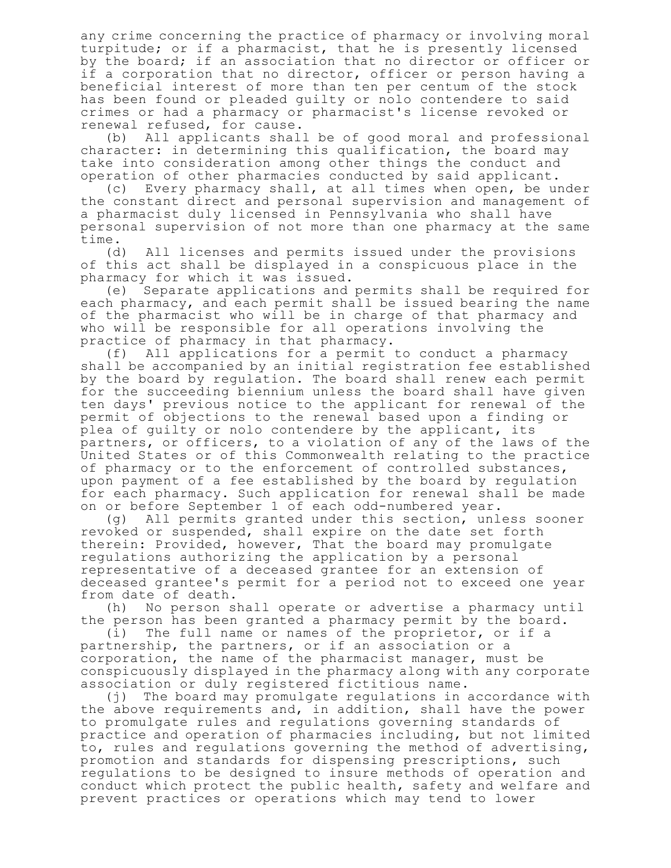any crime concerning the practice of pharmacy or involving moral turpitude; or if a pharmacist, that he is presently licensed by the board; if an association that no director or officer or if a corporation that no director, officer or person having a beneficial interest of more than ten per centum of the stock has been found or pleaded guilty or nolo contendere to said crimes or had a pharmacy or pharmacist's license revoked or renewal refused, for cause.

(b) All applicants shall be of good moral and professional character: in determining this qualification, the board may take into consideration among other things the conduct and operation of other pharmacies conducted by said applicant.

(c) Every pharmacy shall, at all times when open, be under the constant direct and personal supervision and management of a pharmacist duly licensed in Pennsylvania who shall have personal supervision of not more than one pharmacy at the same time.

(d) All licenses and permits issued under the provisions of this act shall be displayed in a conspicuous place in the pharmacy for which it was issued.

(e) Separate applications and permits shall be required for each pharmacy, and each permit shall be issued bearing the name of the pharmacist who will be in charge of that pharmacy and who will be responsible for all operations involving the practice of pharmacy in that pharmacy.

(f) All applications for a permit to conduct a pharmacy shall be accompanied by an initial registration fee established by the board by regulation. The board shall renew each permit for the succeeding biennium unless the board shall have given ten days' previous notice to the applicant for renewal of the permit of objections to the renewal based upon a finding or plea of guilty or nolo contendere by the applicant, its partners, or officers, to a violation of any of the laws of the United States or of this Commonwealth relating to the practice of pharmacy or to the enforcement of controlled substances, upon payment of a fee established by the board by regulation for each pharmacy. Such application for renewal shall be made on or before September 1 of each odd-numbered year.

(g) All permits granted under this section, unless sooner revoked or suspended, shall expire on the date set forth therein: Provided, however, That the board may promulgate regulations authorizing the application by a personal representative of a deceased grantee for an extension of deceased grantee's permit for a period not to exceed one year from date of death.

(h) No person shall operate or advertise a pharmacy until the person has been granted a pharmacy permit by the board.

(i) The full name or names of the proprietor, or if a partnership, the partners, or if an association or a corporation, the name of the pharmacist manager, must be conspicuously displayed in the pharmacy along with any corporate association or duly registered fictitious name.

(j) The board may promulgate regulations in accordance with the above requirements and, in addition, shall have the power to promulgate rules and regulations governing standards of practice and operation of pharmacies including, but not limited to, rules and regulations governing the method of advertising, promotion and standards for dispensing prescriptions, such regulations to be designed to insure methods of operation and conduct which protect the public health, safety and welfare and prevent practices or operations which may tend to lower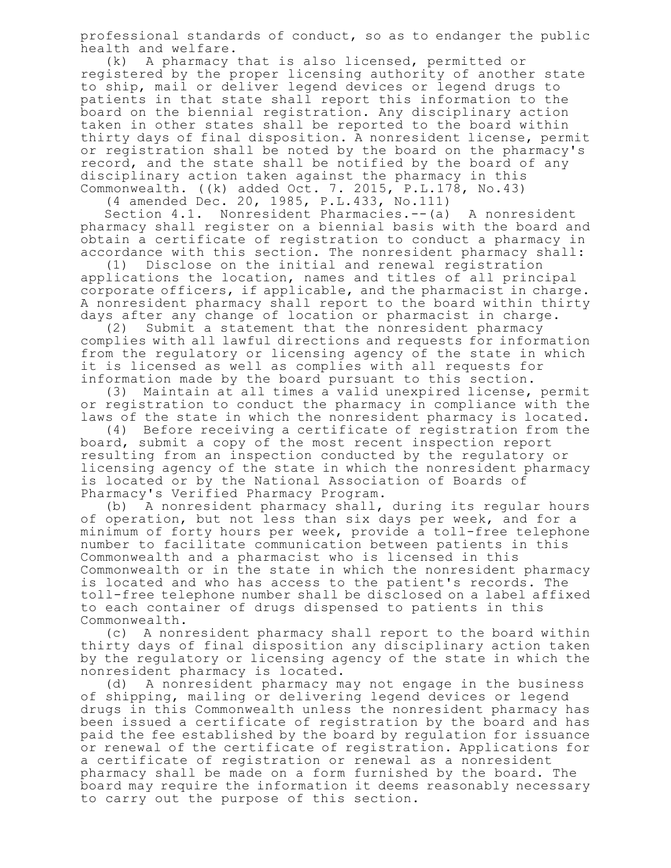professional standards of conduct, so as to endanger the public health and welfare.<br>(k) A pharmacy t

A pharmacy that is also licensed, permitted or registered by the proper licensing authority of another state to ship, mail or deliver legend devices or legend drugs to patients in that state shall report this information to the board on the biennial registration. Any disciplinary action taken in other states shall be reported to the board within thirty days of final disposition. A nonresident license, permit or registration shall be noted by the board on the pharmacy's record, and the state shall be notified by the board of any disciplinary action taken against the pharmacy in this Commonwealth. ((k) added Oct. 7. 2015, P.L.178, No.43)

(4 amended Dec. 20, 1985, P.L.433, No.111)

Section 4.1. Nonresident Pharmacies.--(a) A nonresident pharmacy shall register on a biennial basis with the board and obtain a certificate of registration to conduct a pharmacy in accordance with this section. The nonresident pharmacy shall:

(1) Disclose on the initial and renewal registration applications the location, names and titles of all principal corporate officers, if applicable, and the pharmacist in charge. A nonresident pharmacy shall report to the board within thirty days after any change of location or pharmacist in charge.

(2) Submit a statement that the nonresident pharmacy complies with all lawful directions and requests for information from the regulatory or licensing agency of the state in which it is licensed as well as complies with all requests for information made by the board pursuant to this section.

(3) Maintain at all times a valid unexpired license, permit or registration to conduct the pharmacy in compliance with the laws of the state in which the nonresident pharmacy is located.

(4) Before receiving a certificate of registration from the board, submit a copy of the most recent inspection report resulting from an inspection conducted by the regulatory or licensing agency of the state in which the nonresident pharmacy is located or by the National Association of Boards of Pharmacy's Verified Pharmacy Program.

(b) A nonresident pharmacy shall, during its regular hours of operation, but not less than six days per week, and for a minimum of forty hours per week, provide a toll-free telephone number to facilitate communication between patients in this Commonwealth and a pharmacist who is licensed in this Commonwealth or in the state in which the nonresident pharmacy is located and who has access to the patient's records. The toll-free telephone number shall be disclosed on a label affixed to each container of drugs dispensed to patients in this Commonwealth.

(c) A nonresident pharmacy shall report to the board within thirty days of final disposition any disciplinary action taken by the regulatory or licensing agency of the state in which the nonresident pharmacy is located.

(d) A nonresident pharmacy may not engage in the business of shipping, mailing or delivering legend devices or legend drugs in this Commonwealth unless the nonresident pharmacy has been issued a certificate of registration by the board and has paid the fee established by the board by regulation for issuance or renewal of the certificate of registration. Applications for a certificate of registration or renewal as a nonresident pharmacy shall be made on a form furnished by the board. The board may require the information it deems reasonably necessary to carry out the purpose of this section.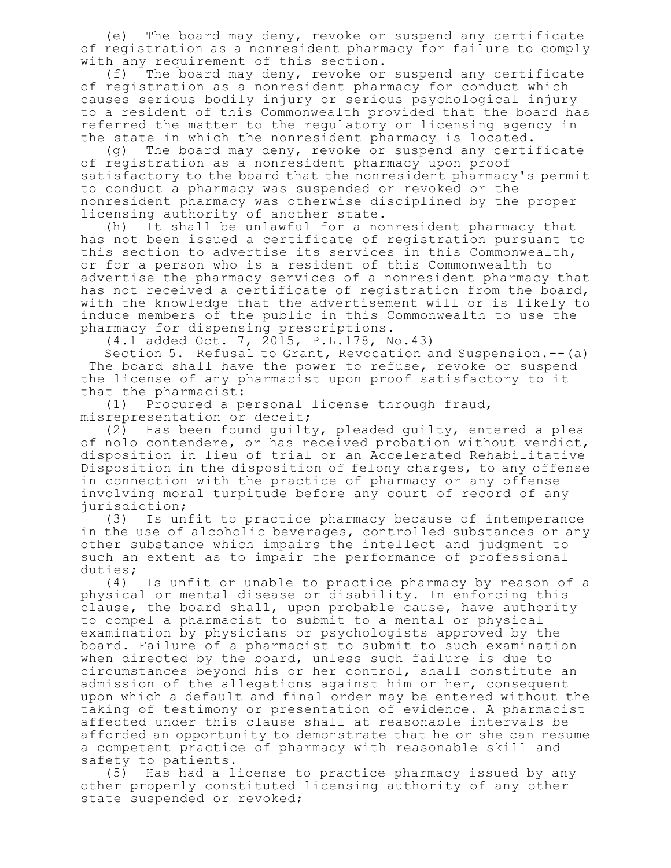(e) The board may deny, revoke or suspend any certificate of registration as a nonresident pharmacy for failure to comply with any requirement of this section.

(f) The board may deny, revoke or suspend any certificate of registration as a nonresident pharmacy for conduct which causes serious bodily injury or serious psychological injury to a resident of this Commonwealth provided that the board has referred the matter to the regulatory or licensing agency in the state in which the nonresident pharmacy is located.

(g) The board may deny, revoke or suspend any certificate of registration as a nonresident pharmacy upon proof satisfactory to the board that the nonresident pharmacy's permit to conduct a pharmacy was suspended or revoked or the nonresident pharmacy was otherwise disciplined by the proper licensing authority of another state.

(h) It shall be unlawful for a nonresident pharmacy that has not been issued a certificate of registration pursuant to this section to advertise its services in this Commonwealth, or for a person who is a resident of this Commonwealth to advertise the pharmacy services of a nonresident pharmacy that has not received a certificate of registration from the board, with the knowledge that the advertisement will or is likely to induce members of the public in this Commonwealth to use the pharmacy for dispensing prescriptions.

(4.1 added Oct. 7, 2015, P.L.178, No.43)

Section 5. Refusal to Grant, Revocation and Suspension.--(a) The board shall have the power to refuse, revoke or suspend the license of any pharmacist upon proof satisfactory to it that the pharmacist:

(1) Procured a personal license through fraud, misrepresentation or deceit;

(2) Has been found guilty, pleaded guilty, entered a plea of nolo contendere, or has received probation without verdict, disposition in lieu of trial or an Accelerated Rehabilitative Disposition in the disposition of felony charges, to any offense in connection with the practice of pharmacy or any offense involving moral turpitude before any court of record of any jurisdiction;

(3) Is unfit to practice pharmacy because of intemperance in the use of alcoholic beverages, controlled substances or any other substance which impairs the intellect and judgment to such an extent as to impair the performance of professional duties;

(4) Is unfit or unable to practice pharmacy by reason of a physical or mental disease or disability. In enforcing this clause, the board shall, upon probable cause, have authority to compel a pharmacist to submit to a mental or physical examination by physicians or psychologists approved by the board. Failure of a pharmacist to submit to such examination when directed by the board, unless such failure is due to circumstances beyond his or her control, shall constitute an admission of the allegations against him or her, consequent upon which a default and final order may be entered without the taking of testimony or presentation of evidence. A pharmacist affected under this clause shall at reasonable intervals be afforded an opportunity to demonstrate that he or she can resume a competent practice of pharmacy with reasonable skill and safety to patients.

(5) Has had a license to practice pharmacy issued by any other properly constituted licensing authority of any other state suspended or revoked;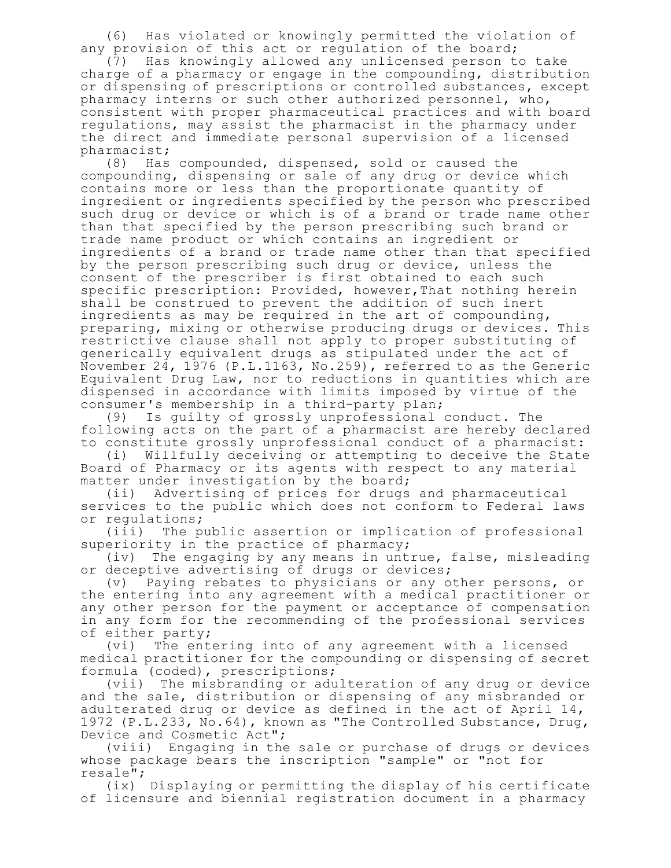(6) Has violated or knowingly permitted the violation of any provision of this act or regulation of the board;

(7) Has knowingly allowed any unlicensed person to take charge of a pharmacy or engage in the compounding, distribution or dispensing of prescriptions or controlled substances, except pharmacy interns or such other authorized personnel, who, consistent with proper pharmaceutical practices and with board regulations, may assist the pharmacist in the pharmacy under the direct and immediate personal supervision of a licensed pharmacist;

(8) Has compounded, dispensed, sold or caused the compounding, dispensing or sale of any drug or device which contains more or less than the proportionate quantity of ingredient or ingredients specified by the person who prescribed such drug or device or which is of a brand or trade name other than that specified by the person prescribing such brand or trade name product or which contains an ingredient or ingredients of a brand or trade name other than that specified by the person prescribing such drug or device, unless the consent of the prescriber is first obtained to each such specific prescription: Provided, however,That nothing herein shall be construed to prevent the addition of such inert ingredients as may be required in the art of compounding, preparing, mixing or otherwise producing drugs or devices. This restrictive clause shall not apply to proper substituting of generically equivalent drugs as stipulated under the act of November 24, 1976 (P.L.1163, No.259), referred to as the Generic Equivalent Drug Law, nor to reductions in quantities which are dispensed in accordance with limits imposed by virtue of the consumer's membership in a third-party plan;

(9) Is guilty of grossly unprofessional conduct. The following acts on the part of a pharmacist are hereby declared to constitute grossly unprofessional conduct of a pharmacist:

(i) Willfully deceiving or attempting to deceive the State Board of Pharmacy or its agents with respect to any material matter under investigation by the board;

(ii) Advertising of prices for drugs and pharmaceutical services to the public which does not conform to Federal laws or regulations;

(iii) The public assertion or implication of professional superiority in the practice of pharmacy;

(iv) The engaging by any means in untrue, false, misleading or deceptive advertising of drugs or devices;

(v) Paying rebates to physicians or any other persons, or the entering into any agreement with a medical practitioner or any other person for the payment or acceptance of compensation in any form for the recommending of the professional services of either party;

(vi) The entering into of any agreement with a licensed medical practitioner for the compounding or dispensing of secret formula (coded), prescriptions;

(vii) The misbranding or adulteration of any drug or device and the sale, distribution or dispensing of any misbranded or adulterated drug or device as defined in the act of April 14, 1972 (P.L.233, No.64), known as "The Controlled Substance, Drug, Device and Cosmetic Act";

(viii) Engaging in the sale or purchase of drugs or devices whose package bears the inscription "sample" or "not for resale";

(ix) Displaying or permitting the display of his certificate of licensure and biennial registration document in a pharmacy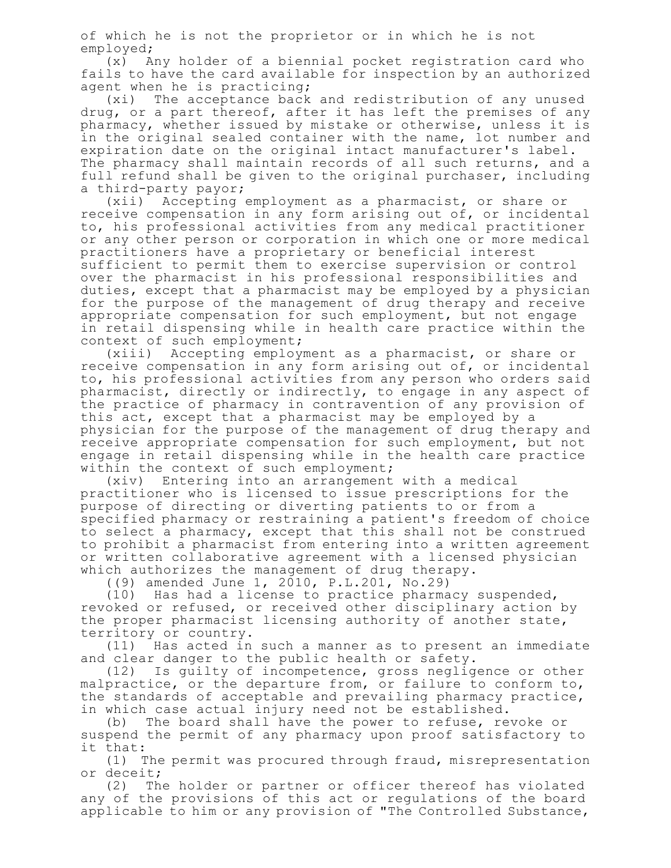of which he is not the proprietor or in which he is not employed;

(x) Any holder of a biennial pocket registration card who fails to have the card available for inspection by an authorized agent when he is practicing;

(xi) The acceptance back and redistribution of any unused drug, or a part thereof, after it has left the premises of any pharmacy, whether issued by mistake or otherwise, unless it is in the original sealed container with the name, lot number and expiration date on the original intact manufacturer's label. The pharmacy shall maintain records of all such returns, and a full refund shall be given to the original purchaser, including a third-party payor;

(xii) Accepting employment as a pharmacist, or share or receive compensation in any form arising out of, or incidental to, his professional activities from any medical practitioner or any other person or corporation in which one or more medical practitioners have a proprietary or beneficial interest sufficient to permit them to exercise supervision or control over the pharmacist in his professional responsibilities and duties, except that a pharmacist may be employed by a physician for the purpose of the management of drug therapy and receive appropriate compensation for such employment, but not engage in retail dispensing while in health care practice within the context of such employment;

(xiii) Accepting employment as a pharmacist, or share or receive compensation in any form arising out of, or incidental to, his professional activities from any person who orders said pharmacist, directly or indirectly, to engage in any aspect of the practice of pharmacy in contravention of any provision of this act, except that a pharmacist may be employed by a physician for the purpose of the management of drug therapy and receive appropriate compensation for such employment, but not engage in retail dispensing while in the health care practice within the context of such employment;

(xiv) Entering into an arrangement with a medical practitioner who is licensed to issue prescriptions for the purpose of directing or diverting patients to or from a specified pharmacy or restraining a patient's freedom of choice to select a pharmacy, except that this shall not be construed to prohibit a pharmacist from entering into a written agreement or written collaborative agreement with a licensed physician which authorizes the management of drug therapy.

((9) amended June 1, 2010, P.L.201, No.29)

(10) Has had a license to practice pharmacy suspended, revoked or refused, or received other disciplinary action by the proper pharmacist licensing authority of another state, territory or country.

(11) Has acted in such a manner as to present an immediate and clear danger to the public health or safety.<br>(12) Is quilty of incompetence, gross neglige

Is guilty of incompetence, gross negligence or other malpractice, or the departure from, or failure to conform to, the standards of acceptable and prevailing pharmacy practice, in which case actual injury need not be established.

(b) The board shall have the power to refuse, revoke or suspend the permit of any pharmacy upon proof satisfactory to it that:

(1) The permit was procured through fraud, misrepresentation or deceit;

(2) The holder or partner or officer thereof has violated any of the provisions of this act or regulations of the board applicable to him or any provision of "The Controlled Substance,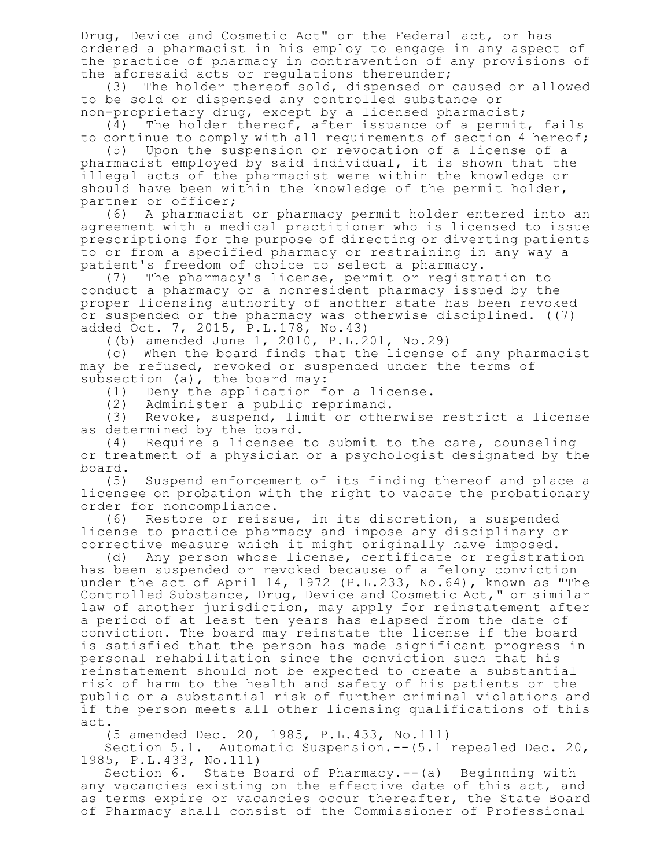Drug, Device and Cosmetic Act" or the Federal act, or has ordered a pharmacist in his employ to engage in any aspect of the practice of pharmacy in contravention of any provisions of the aforesaid acts or regulations thereunder;

(3) The holder thereof sold, dispensed or caused or allowed to be sold or dispensed any controlled substance or non-proprietary drug, except by a licensed pharmacist;

(4) The holder thereof, after issuance of a permit, fails to continue to comply with all requirements of section 4 hereof;

(5) Upon the suspension or revocation of a license of a pharmacist employed by said individual, it is shown that the illegal acts of the pharmacist were within the knowledge or should have been within the knowledge of the permit holder, partner or officer;

(6) A pharmacist or pharmacy permit holder entered into an agreement with a medical practitioner who is licensed to issue prescriptions for the purpose of directing or diverting patients to or from a specified pharmacy or restraining in any way a patient's freedom of choice to select a pharmacy.

(7) The pharmacy's license, permit or registration to conduct a pharmacy or a nonresident pharmacy issued by the proper licensing authority of another state has been revoked or suspended or the pharmacy was otherwise disciplined. ((7) added Oct. 7, 2015, P.L.178, No.43)

((b) amended June 1, 2010, P.L.201, No.29)

(c) When the board finds that the license of any pharmacist may be refused, revoked or suspended under the terms of subsection (a), the board may:

(1) Deny the application for a license.

(2) Administer a public reprimand.

(3) Revoke, suspend, limit or otherwise restrict a license as determined by the board.

(4) Require a licensee to submit to the care, counseling or treatment of a physician or a psychologist designated by the board.

(5) Suspend enforcement of its finding thereof and place a licensee on probation with the right to vacate the probationary order for noncompliance.

(6) Restore or reissue, in its discretion, a suspended license to practice pharmacy and impose any disciplinary or corrective measure which it might originally have imposed.

(d) Any person whose license, certificate or registration has been suspended or revoked because of a felony conviction under the act of April 14, 1972 (P.L.233, No.64), known as "The Controlled Substance, Drug, Device and Cosmetic Act," or similar law of another jurisdiction, may apply for reinstatement after a period of at least ten years has elapsed from the date of conviction. The board may reinstate the license if the board is satisfied that the person has made significant progress in personal rehabilitation since the conviction such that his reinstatement should not be expected to create a substantial risk of harm to the health and safety of his patients or the public or a substantial risk of further criminal violations and if the person meets all other licensing qualifications of this act.

(5 amended Dec. 20, 1985, P.L.433, No.111)

Section 5.1. Automatic Suspension.--(5.1 repealed Dec. 20, 1985, P.L.433, No.111)

Section 6. State Board of Pharmacy.--(a) Beginning with any vacancies existing on the effective date of this act, and as terms expire or vacancies occur thereafter, the State Board of Pharmacy shall consist of the Commissioner of Professional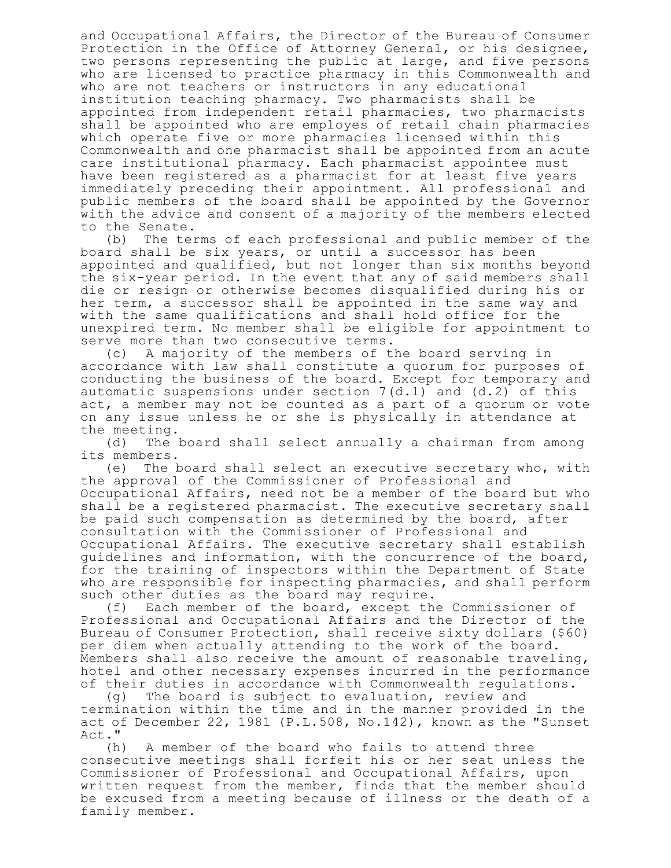and Occupational Affairs, the Director of the Bureau of Consumer Protection in the Office of Attorney General, or his designee, two persons representing the public at large, and five persons who are licensed to practice pharmacy in this Commonwealth and who are not teachers or instructors in any educational institution teaching pharmacy. Two pharmacists shall be appointed from independent retail pharmacies, two pharmacists shall be appointed who are employes of retail chain pharmacies which operate five or more pharmacies licensed within this Commonwealth and one pharmacist shall be appointed from an acute care institutional pharmacy. Each pharmacist appointee must have been registered as a pharmacist for at least five years immediately preceding their appointment. All professional and public members of the board shall be appointed by the Governor with the advice and consent of a majority of the members elected to the Senate.

(b) The terms of each professional and public member of the board shall be six years, or until a successor has been appointed and qualified, but not longer than six months beyond the six-year period. In the event that any of said members shall die or resign or otherwise becomes disqualified during his or her term, a successor shall be appointed in the same way and with the same qualifications and shall hold office for the unexpired term. No member shall be eligible for appointment to serve more than two consecutive terms.

(c) A majority of the members of the board serving in accordance with law shall constitute a quorum for purposes of conducting the business of the board. Except for temporary and automatic suspensions under section  $7(d.1)$  and  $(d.2)$  of this act, a member may not be counted as a part of a quorum or vote on any issue unless he or she is physically in attendance at the meeting.

(d) The board shall select annually a chairman from among its members.

(e) The board shall select an executive secretary who, with the approval of the Commissioner of Professional and Occupational Affairs, need not be a member of the board but who shall be a registered pharmacist. The executive secretary shall be paid such compensation as determined by the board, after consultation with the Commissioner of Professional and Occupational Affairs. The executive secretary shall establish guidelines and information, with the concurrence of the board, for the training of inspectors within the Department of State who are responsible for inspecting pharmacies, and shall perform such other duties as the board may require.

(f) Each member of the board, except the Commissioner of Professional and Occupational Affairs and the Director of the Bureau of Consumer Protection, shall receive sixty dollars (\$60) per diem when actually attending to the work of the board. Members shall also receive the amount of reasonable traveling, hotel and other necessary expenses incurred in the performance of their duties in accordance with Commonwealth regulations.

(g) The board is subject to evaluation, review and termination within the time and in the manner provided in the act of December 22, 1981 (P.L.508, No.142), known as the "Sunset Act."

(h) A member of the board who fails to attend three consecutive meetings shall forfeit his or her seat unless the Commissioner of Professional and Occupational Affairs, upon written request from the member, finds that the member should be excused from a meeting because of illness or the death of a family member.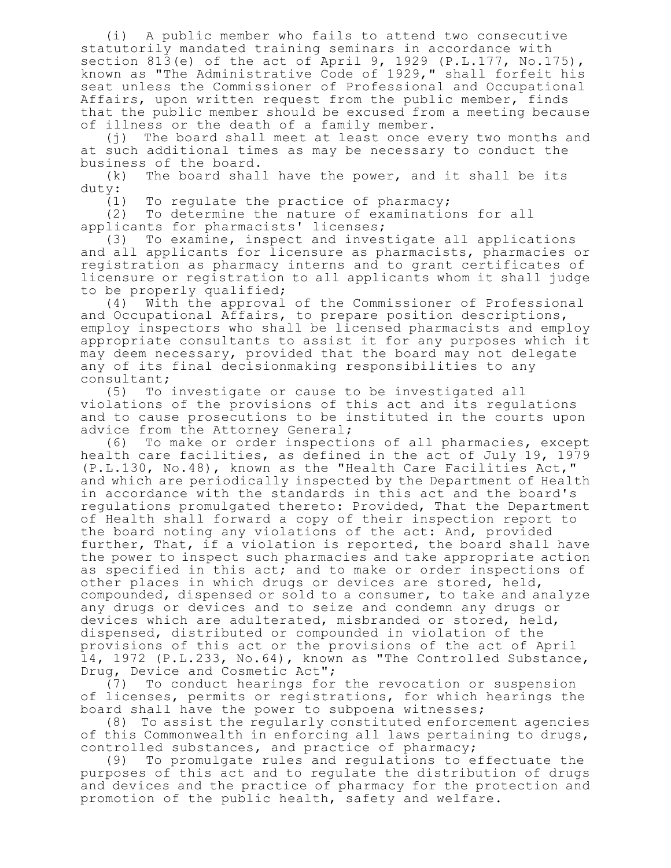(i) A public member who fails to attend two consecutive statutorily mandated training seminars in accordance with section 813(e) of the act of April 9, 1929 (P.L.177, No.175), known as "The Administrative Code of 1929," shall forfeit his seat unless the Commissioner of Professional and Occupational Affairs, upon written request from the public member, finds that the public member should be excused from a meeting because of illness or the death of a family member.

(j) The board shall meet at least once every two months and at such additional times as may be necessary to conduct the business of the board.

(k) The board shall have the power, and it shall be its duty:

(1) To regulate the practice of pharmacy;

(2) To determine the nature of examinations for all applicants for pharmacists' licenses;

(3) To examine, inspect and investigate all applications and all applicants for licensure as pharmacists, pharmacies or registration as pharmacy interns and to grant certificates of licensure or registration to all applicants whom it shall judge to be properly qualified;

(4) With the approval of the Commissioner of Professional and Occupational Affairs, to prepare position descriptions, employ inspectors who shall be licensed pharmacists and employ appropriate consultants to assist it for any purposes which it may deem necessary, provided that the board may not delegate any of its final decisionmaking responsibilities to any consultant;

(5) To investigate or cause to be investigated all violations of the provisions of this act and its regulations and to cause prosecutions to be instituted in the courts upon advice from the Attorney General;

(6) To make or order inspections of all pharmacies, except health care facilities, as defined in the act of July 19, 1979 (P.L.130, No.48), known as the "Health Care Facilities Act," and which are periodically inspected by the Department of Health in accordance with the standards in this act and the board's regulations promulgated thereto: Provided, That the Department of Health shall forward a copy of their inspection report to the board noting any violations of the act: And, provided further, That, if a violation is reported, the board shall have the power to inspect such pharmacies and take appropriate action as specified in this act; and to make or order inspections of other places in which drugs or devices are stored, held, compounded, dispensed or sold to a consumer, to take and analyze any drugs or devices and to seize and condemn any drugs or devices which are adulterated, misbranded or stored, held, dispensed, distributed or compounded in violation of the provisions of this act or the provisions of the act of April 14, 1972 (P.L.233, No.64), known as "The Controlled Substance, Drug, Device and Cosmetic Act";

(7) To conduct hearings for the revocation or suspension of licenses, permits or registrations, for which hearings the board shall have the power to subpoena witnesses;

(8) To assist the regularly constituted enforcement agencies of this Commonwealth in enforcing all laws pertaining to drugs, controlled substances, and practice of pharmacy;

(9) To promulgate rules and regulations to effectuate the purposes of this act and to regulate the distribution of drugs and devices and the practice of pharmacy for the protection and promotion of the public health, safety and welfare.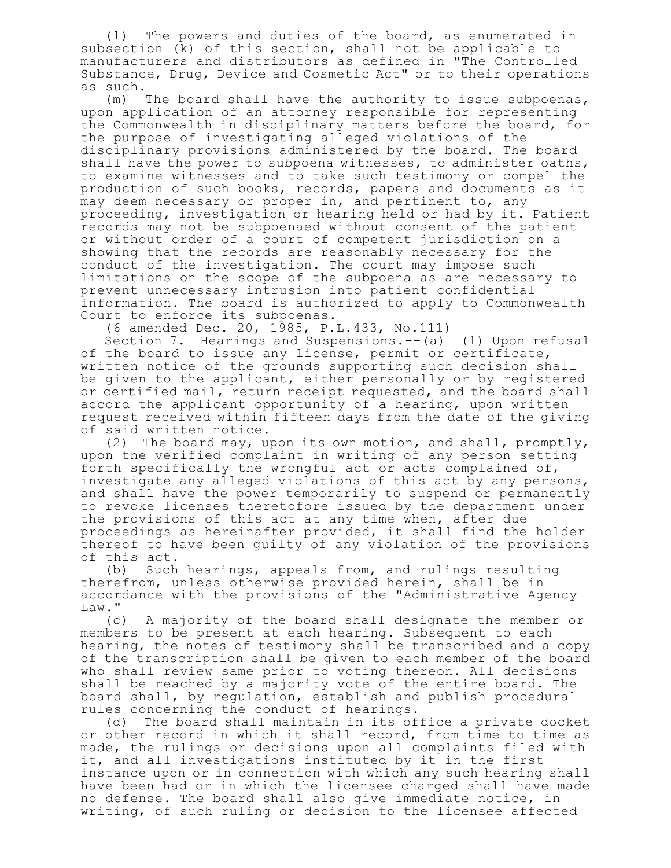(l) The powers and duties of the board, as enumerated in subsection (k) of this section, shall not be applicable to manufacturers and distributors as defined in "The Controlled Substance, Drug, Device and Cosmetic Act" or to their operations

as  $such.$ <br>(m) The board shall have the authority to issue subpoenas, upon application of an attorney responsible for representing the Commonwealth in disciplinary matters before the board, for the purpose of investigating alleged violations of the disciplinary provisions administered by the board. The board shall have the power to subpoena witnesses, to administer oaths, to examine witnesses and to take such testimony or compel the production of such books, records, papers and documents as it may deem necessary or proper in, and pertinent to, any proceeding, investigation or hearing held or had by it. Patient records may not be subpoenaed without consent of the patient or without order of a court of competent jurisdiction on a showing that the records are reasonably necessary for the conduct of the investigation. The court may impose such limitations on the scope of the subpoena as are necessary to prevent unnecessary intrusion into patient confidential information. The board is authorized to apply to Commonwealth Court to enforce its subpoenas.

(6 amended Dec. 20, 1985, P.L.433, No.111)

Section 7. Hearings and Suspensions.--(a) (1) Upon refusal of the board to issue any license, permit or certificate, written notice of the grounds supporting such decision shall be given to the applicant, either personally or by registered or certified mail, return receipt requested, and the board shall accord the applicant opportunity of a hearing, upon written request received within fifteen days from the date of the giving of said written notice.

(2) The board may, upon its own motion, and shall, promptly, upon the verified complaint in writing of any person setting forth specifically the wrongful act or acts complained of, investigate any alleged violations of this act by any persons, and shall have the power temporarily to suspend or permanently to revoke licenses theretofore issued by the department under the provisions of this act at any time when, after due proceedings as hereinafter provided, it shall find the holder thereof to have been guilty of any violation of the provisions of this act.

(b) Such hearings, appeals from, and rulings resulting therefrom, unless otherwise provided herein, shall be in accordance with the provisions of the "Administrative Agency Law."

(c) A majority of the board shall designate the member or members to be present at each hearing. Subsequent to each hearing, the notes of testimony shall be transcribed and a copy of the transcription shall be given to each member of the board who shall review same prior to voting thereon. All decisions shall be reached by a majority vote of the entire board. The board shall, by regulation, establish and publish procedural rules concerning the conduct of hearings.

(d) The board shall maintain in its office a private docket or other record in which it shall record, from time to time as made, the rulings or decisions upon all complaints filed with it, and all investigations instituted by it in the first instance upon or in connection with which any such hearing shall have been had or in which the licensee charged shall have made no defense. The board shall also give immediate notice, in writing, of such ruling or decision to the licensee affected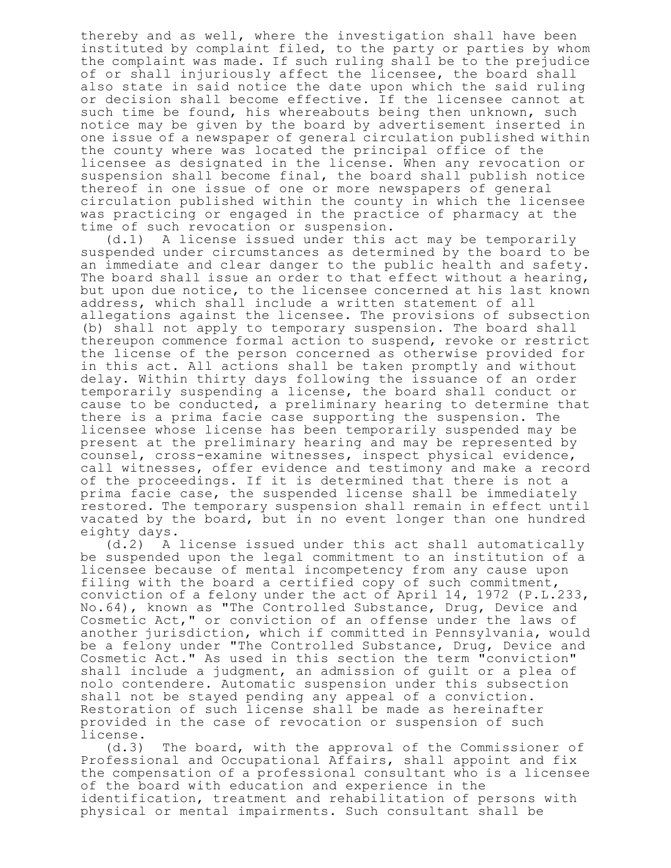thereby and as well, where the investigation shall have been instituted by complaint filed, to the party or parties by whom the complaint was made. If such ruling shall be to the prejudice of or shall injuriously affect the licensee, the board shall also state in said notice the date upon which the said ruling or decision shall become effective. If the licensee cannot at such time be found, his whereabouts being then unknown, such notice may be given by the board by advertisement inserted in one issue of a newspaper of general circulation published within the county where was located the principal office of the licensee as designated in the license. When any revocation or suspension shall become final, the board shall publish notice thereof in one issue of one or more newspapers of general circulation published within the county in which the licensee was practicing or engaged in the practice of pharmacy at the time of such revocation or suspension.

(d.1) A license issued under this act may be temporarily suspended under circumstances as determined by the board to be an immediate and clear danger to the public health and safety. The board shall issue an order to that effect without a hearing, but upon due notice, to the licensee concerned at his last known address, which shall include a written statement of all allegations against the licensee. The provisions of subsection (b) shall not apply to temporary suspension. The board shall thereupon commence formal action to suspend, revoke or restrict the license of the person concerned as otherwise provided for in this act. All actions shall be taken promptly and without delay. Within thirty days following the issuance of an order temporarily suspending a license, the board shall conduct or cause to be conducted, a preliminary hearing to determine that there is a prima facie case supporting the suspension. The licensee whose license has been temporarily suspended may be present at the preliminary hearing and may be represented by counsel, cross-examine witnesses, inspect physical evidence, call witnesses, offer evidence and testimony and make a record of the proceedings. If it is determined that there is not a prima facie case, the suspended license shall be immediately restored. The temporary suspension shall remain in effect until vacated by the board, but in no event longer than one hundred eighty days.

(d.2) A license issued under this act shall automatically be suspended upon the legal commitment to an institution of a licensee because of mental incompetency from any cause upon filing with the board a certified copy of such commitment, conviction of a felony under the act of April 14, 1972 (P.L.233, No.64), known as "The Controlled Substance, Drug, Device and Cosmetic Act," or conviction of an offense under the laws of another jurisdiction, which if committed in Pennsylvania, would be a felony under "The Controlled Substance, Drug, Device and Cosmetic Act." As used in this section the term "conviction" shall include a judgment, an admission of guilt or a plea of nolo contendere. Automatic suspension under this subsection shall not be stayed pending any appeal of a conviction. Restoration of such license shall be made as hereinafter provided in the case of revocation or suspension of such license.

(d.3) The board, with the approval of the Commissioner of Professional and Occupational Affairs, shall appoint and fix the compensation of a professional consultant who is a licensee of the board with education and experience in the identification, treatment and rehabilitation of persons with physical or mental impairments. Such consultant shall be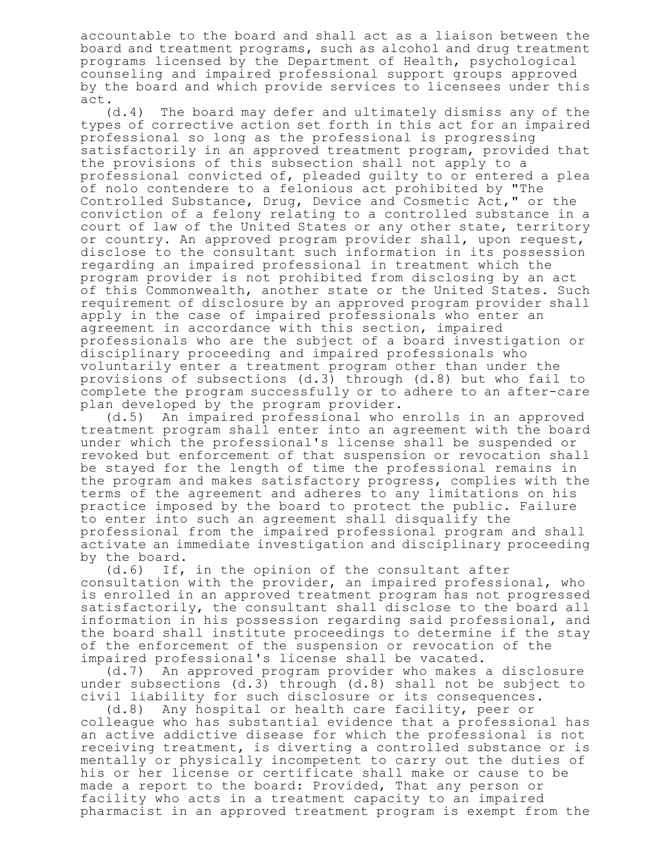accountable to the board and shall act as a liaison between the board and treatment programs, such as alcohol and drug treatment programs licensed by the Department of Health, psychological counseling and impaired professional support groups approved by the board and which provide services to licensees under this act.

(d.4) The board may defer and ultimately dismiss any of the types of corrective action set forth in this act for an impaired professional so long as the professional is progressing satisfactorily in an approved treatment program, provided that the provisions of this subsection shall not apply to a professional convicted of, pleaded guilty to or entered a plea of nolo contendere to a felonious act prohibited by "The Controlled Substance, Drug, Device and Cosmetic Act," or the conviction of a felony relating to a controlled substance in a court of law of the United States or any other state, territory or country. An approved program provider shall, upon request, disclose to the consultant such information in its possession regarding an impaired professional in treatment which the program provider is not prohibited from disclosing by an act of this Commonwealth, another state or the United States. Such requirement of disclosure by an approved program provider shall apply in the case of impaired professionals who enter an agreement in accordance with this section, impaired professionals who are the subject of a board investigation or disciplinary proceeding and impaired professionals who voluntarily enter a treatment program other than under the provisions of subsections (d.3) through (d.8) but who fail to complete the program successfully or to adhere to an after-care plan developed by the program provider.

(d.5) An impaired professional who enrolls in an approved treatment program shall enter into an agreement with the board under which the professional's license shall be suspended or revoked but enforcement of that suspension or revocation shall be stayed for the length of time the professional remains in the program and makes satisfactory progress, complies with the terms of the agreement and adheres to any limitations on his practice imposed by the board to protect the public. Failure to enter into such an agreement shall disqualify the professional from the impaired professional program and shall activate an immediate investigation and disciplinary proceeding by the board.

(d.6) If, in the opinion of the consultant after consultation with the provider, an impaired professional, who is enrolled in an approved treatment program has not progressed satisfactorily, the consultant shall disclose to the board all information in his possession regarding said professional, and the board shall institute proceedings to determine if the stay of the enforcement of the suspension or revocation of the impaired professional's license shall be vacated.

(d.7) An approved program provider who makes a disclosure under subsections (d.3) through (d.8) shall not be subject to civil liability for such disclosure or its consequences.

(d.8) Any hospital or health care facility, peer or colleague who has substantial evidence that a professional has an active addictive disease for which the professional is not receiving treatment, is diverting a controlled substance or is mentally or physically incompetent to carry out the duties of his or her license or certificate shall make or cause to be made a report to the board: Provided, That any person or facility who acts in a treatment capacity to an impaired pharmacist in an approved treatment program is exempt from the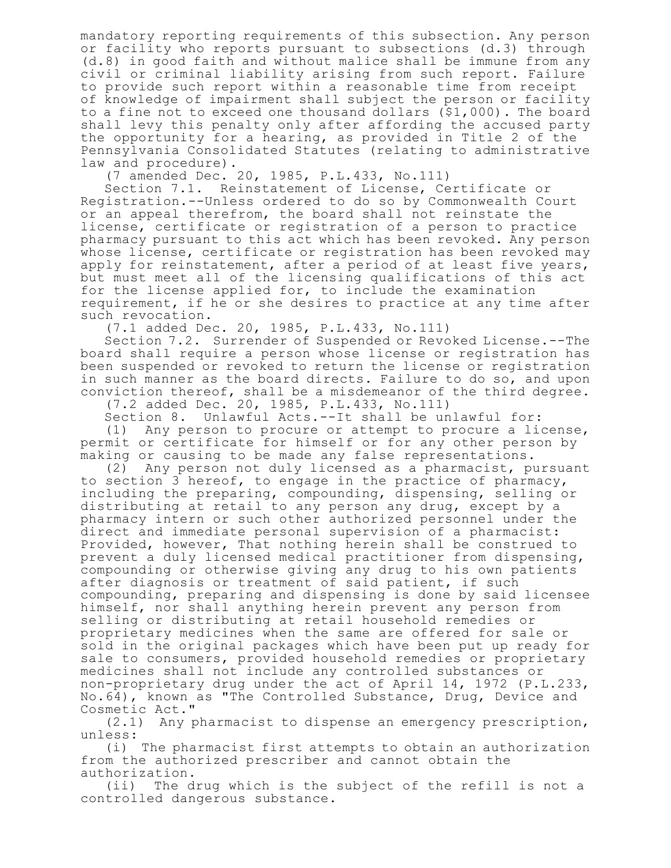mandatory reporting requirements of this subsection. Any person or facility who reports pursuant to subsections (d.3) through (d.8) in good faith and without malice shall be immune from any civil or criminal liability arising from such report. Failure to provide such report within a reasonable time from receipt of knowledge of impairment shall subject the person or facility to a fine not to exceed one thousand dollars (\$1,000). The board shall levy this penalty only after affording the accused party the opportunity for a hearing, as provided in Title 2 of the Pennsylvania Consolidated Statutes (relating to administrative law and procedure).

(7 amended Dec. 20, 1985, P.L.433, No.111)

Section 7.1. Reinstatement of License, Certificate or Registration.--Unless ordered to do so by Commonwealth Court or an appeal therefrom, the board shall not reinstate the license, certificate or registration of a person to practice pharmacy pursuant to this act which has been revoked. Any person whose license, certificate or registration has been revoked may apply for reinstatement, after a period of at least five years, but must meet all of the licensing qualifications of this act for the license applied for, to include the examination requirement, if he or she desires to practice at any time after such revocation.

(7.1 added Dec. 20, 1985, P.L.433, No.111)

Section 7.2. Surrender of Suspended or Revoked License.--The board shall require a person whose license or registration has been suspended or revoked to return the license or registration in such manner as the board directs. Failure to do so, and upon conviction thereof, shall be a misdemeanor of the third degree.

(7.2 added Dec. 20, 1985, P.L.433, No.111)

Unlawful Acts.--It shall be unlawful for: (1) Any person to procure or attempt to procure a license, permit or certificate for himself or for any other person by making or causing to be made any false representations.

(2) Any person not duly licensed as a pharmacist, pursuant to section 3 hereof, to engage in the practice of pharmacy, including the preparing, compounding, dispensing, selling or distributing at retail to any person any drug, except by a pharmacy intern or such other authorized personnel under the direct and immediate personal supervision of a pharmacist: Provided, however, That nothing herein shall be construed to prevent a duly licensed medical practitioner from dispensing, compounding or otherwise giving any drug to his own patients after diagnosis or treatment of said patient, if such compounding, preparing and dispensing is done by said licensee himself, nor shall anything herein prevent any person from selling or distributing at retail household remedies or proprietary medicines when the same are offered for sale or sold in the original packages which have been put up ready for sale to consumers, provided household remedies or proprietary medicines shall not include any controlled substances or non-proprietary drug under the act of April 14, 1972 (P.L.233, No.64), known as "The Controlled Substance, Drug, Device and Cosmetic Act."

(2.1) Any pharmacist to dispense an emergency prescription, unless:

(i) The pharmacist first attempts to obtain an authorization from the authorized prescriber and cannot obtain the authorization.

(ii) The drug which is the subject of the refill is not a controlled dangerous substance.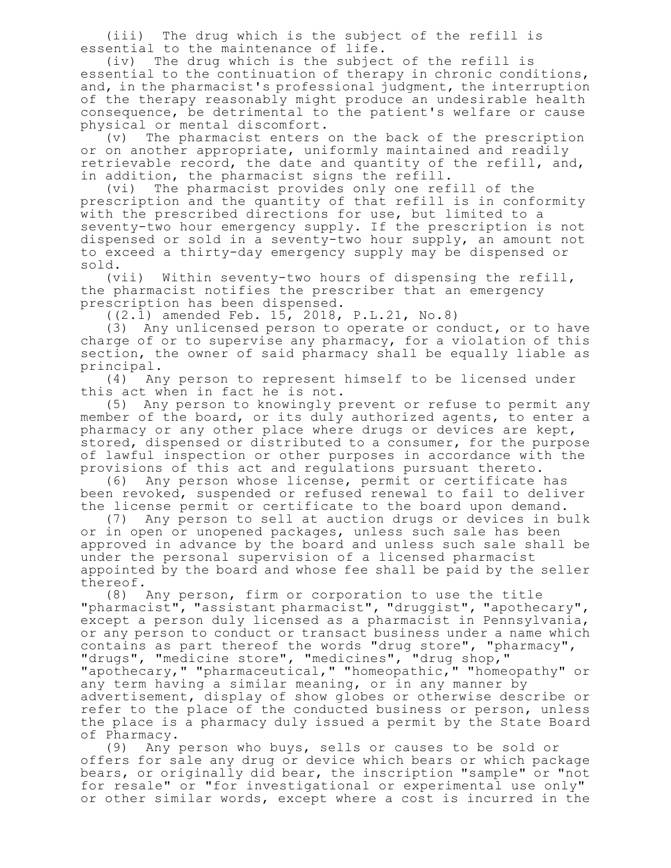(iii) The drug which is the subject of the refill is essential to the maintenance of life.

(iv) The drug which is the subject of the refill is essential to the continuation of therapy in chronic conditions, and, in the pharmacist's professional judgment, the interruption of the therapy reasonably might produce an undesirable health consequence, be detrimental to the patient's welfare or cause physical or mental discomfort.

(v) The pharmacist enters on the back of the prescription or on another appropriate, uniformly maintained and readily retrievable record, the date and quantity of the refill, and, in addition, the pharmacist signs the refill.<br>(vi) The pharmacist provides only one ref.

The pharmacist provides only one refill of the prescription and the quantity of that refill is in conformity with the prescribed directions for use, but limited to a seventy-two hour emergency supply. If the prescription is not dispensed or sold in a seventy-two hour supply, an amount not to exceed a thirty-day emergency supply may be dispensed or sold.

(vii) Within seventy-two hours of dispensing the refill, the pharmacist notifies the prescriber that an emergency prescription has been dispensed.

((2.1) amended Feb. 15, 2018, P.L.21, No.8)

(3) Any unlicensed person to operate or conduct, or to have charge of or to supervise any pharmacy, for a violation of this section, the owner of said pharmacy shall be equally liable as principal.

(4) Any person to represent himself to be licensed under this act when in fact he is not.

(5) Any person to knowingly prevent or refuse to permit any member of the board, or its duly authorized agents, to enter a pharmacy or any other place where drugs or devices are kept, stored, dispensed or distributed to a consumer, for the purpose of lawful inspection or other purposes in accordance with the provisions of this act and regulations pursuant thereto.

(6) Any person whose license, permit or certificate has been revoked, suspended or refused renewal to fail to deliver the license permit or certificate to the board upon demand.

(7) Any person to sell at auction drugs or devices in bulk or in open or unopened packages, unless such sale has been approved in advance by the board and unless such sale shall be under the personal supervision of a licensed pharmacist appointed by the board and whose fee shall be paid by the seller thereof.

(8) Any person, firm or corporation to use the title "pharmacist", "assistant pharmacist", "druggist", "apothecary", except a person duly licensed as a pharmacist in Pennsylvania, or any person to conduct or transact business under a name which contains as part thereof the words "drug store", "pharmacy", "drugs", "medicine store", "medicines", "drug shop," "apothecary," "pharmaceutical," "homeopathic," "homeopathy" or any term having a similar meaning, or in any manner by advertisement, display of show globes or otherwise describe or refer to the place of the conducted business or person, unless the place is a pharmacy duly issued a permit by the State Board of Pharmacy.

(9) Any person who buys, sells or causes to be sold or offers for sale any drug or device which bears or which package bears, or originally did bear, the inscription "sample" or "not for resale" or "for investigational or experimental use only" or other similar words, except where a cost is incurred in the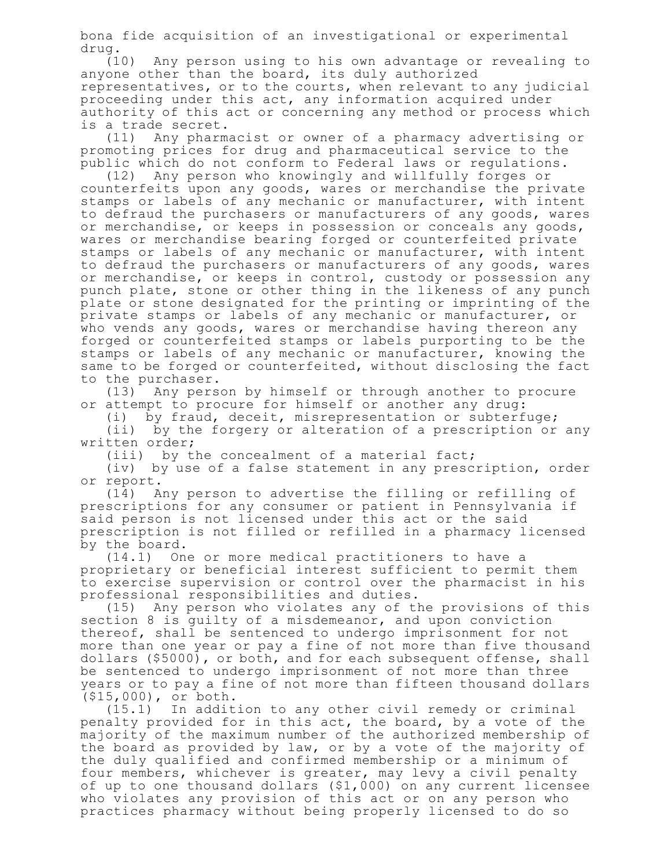bona fide acquisition of an investigational or experimental drug.

(10) Any person using to his own advantage or revealing to anyone other than the board, its duly authorized representatives, or to the courts, when relevant to any judicial proceeding under this act, any information acquired under authority of this act or concerning any method or process which is a trade secret.

(11) Any pharmacist or owner of a pharmacy advertising or promoting prices for drug and pharmaceutical service to the public which do not conform to Federal laws or regulations.

(12) Any person who knowingly and willfully forges or counterfeits upon any goods, wares or merchandise the private stamps or labels of any mechanic or manufacturer, with intent to defraud the purchasers or manufacturers of any goods, wares or merchandise, or keeps in possession or conceals any goods, wares or merchandise bearing forged or counterfeited private stamps or labels of any mechanic or manufacturer, with intent to defraud the purchasers or manufacturers of any goods, wares or merchandise, or keeps in control, custody or possession any punch plate, stone or other thing in the likeness of any punch plate or stone designated for the printing or imprinting of the private stamps or labels of any mechanic or manufacturer, or who vends any goods, wares or merchandise having thereon any forged or counterfeited stamps or labels purporting to be the stamps or labels of any mechanic or manufacturer, knowing the same to be forged or counterfeited, without disclosing the fact to the purchaser.

(13) Any person by himself or through another to procure or attempt to procure for himself or another any drug:

(i) by fraud, deceit, misrepresentation or subterfuge;

(ii) by the forgery or alteration of a prescription or any written order;

(iii) by the concealment of a material fact;

(iv) by use of a false statement in any prescription, order or report.

(14) Any person to advertise the filling or refilling of prescriptions for any consumer or patient in Pennsylvania if said person is not licensed under this act or the said prescription is not filled or refilled in a pharmacy licensed by the board.

(14.1) One or more medical practitioners to have a proprietary or beneficial interest sufficient to permit them to exercise supervision or control over the pharmacist in his professional responsibilities and duties.

(15) Any person who violates any of the provisions of this section 8 is guilty of a misdemeanor, and upon conviction thereof, shall be sentenced to undergo imprisonment for not more than one year or pay a fine of not more than five thousand dollars (\$5000), or both, and for each subsequent offense, shall be sentenced to undergo imprisonment of not more than three years or to pay a fine of not more than fifteen thousand dollars (\$15,000), or both.

(15.1) In addition to any other civil remedy or criminal penalty provided for in this act, the board, by a vote of the majority of the maximum number of the authorized membership of the board as provided by law, or by a vote of the majority of the duly qualified and confirmed membership or a minimum of four members, whichever is greater, may levy a civil penalty of up to one thousand dollars (\$1,000) on any current licensee who violates any provision of this act or on any person who practices pharmacy without being properly licensed to do so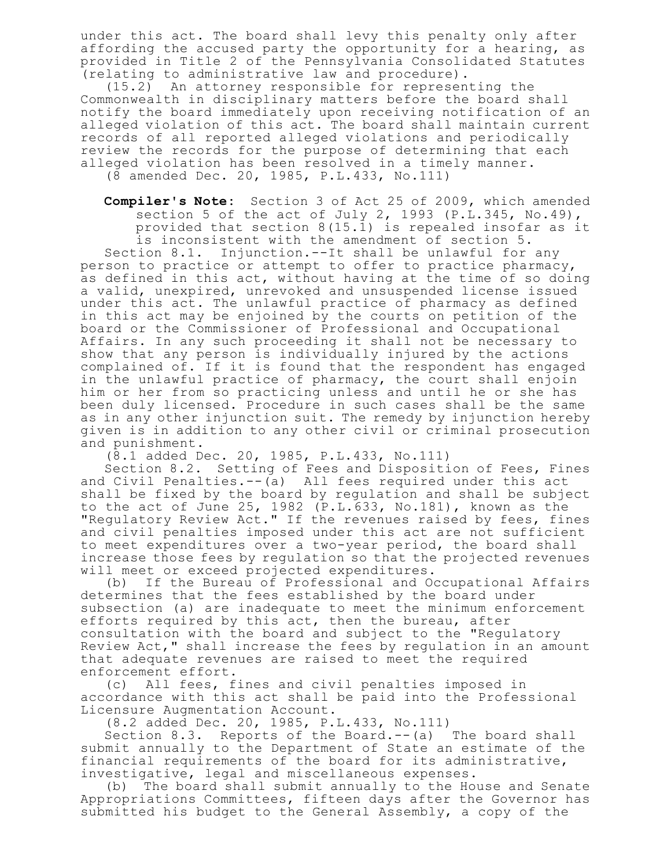under this act. The board shall levy this penalty only after affording the accused party the opportunity for a hearing, as provided in Title 2 of the Pennsylvania Consolidated Statutes (relating to administrative law and procedure).

(15.2) An attorney responsible for representing the Commonwealth in disciplinary matters before the board shall notify the board immediately upon receiving notification of an alleged violation of this act. The board shall maintain current records of all reported alleged violations and periodically review the records for the purpose of determining that each alleged violation has been resolved in a timely manner.

(8 amended Dec. 20, 1985, P.L.433, No.111)

**Compiler's Note:** Section 3 of Act 25 of 2009, which amended section 5 of the act of July 2, 1993 (P.L.345, No.49), provided that section  $8(15.1)$  is repealed insofar as it is inconsistent with the amendment of section 5.

Section 8.1. Injunction.--It shall be unlawful for any person to practice or attempt to offer to practice pharmacy, as defined in this act, without having at the time of so doing a valid, unexpired, unrevoked and unsuspended license issued under this act. The unlawful practice of pharmacy as defined in this act may be enjoined by the courts on petition of the board or the Commissioner of Professional and Occupational Affairs. In any such proceeding it shall not be necessary to show that any person is individually injured by the actions complained of. If it is found that the respondent has engaged in the unlawful practice of pharmacy, the court shall enjoin him or her from so practicing unless and until he or she has been duly licensed. Procedure in such cases shall be the same as in any other injunction suit. The remedy by injunction hereby given is in addition to any other civil or criminal prosecution and punishment.

(8.1 added Dec. 20, 1985, P.L.433, No.111)

Section 8.2. Setting of Fees and Disposition of Fees, Fines and Civil Penalties.--(a) All fees required under this act shall be fixed by the board by regulation and shall be subject to the act of June 25, 1982 (P.L.633, No.181), known as the "Regulatory Review Act." If the revenues raised by fees, fines and civil penalties imposed under this act are not sufficient to meet expenditures over a two-year period, the board shall increase those fees by regulation so that the projected revenues will meet or exceed projected expenditures.

(b) If the Bureau of Professional and Occupational Affairs determines that the fees established by the board under subsection (a) are inadequate to meet the minimum enforcement efforts required by this act, then the bureau, after consultation with the board and subject to the "Regulatory Review Act," shall increase the fees by regulation in an amount that adequate revenues are raised to meet the required enforcement effort.

(c) All fees, fines and civil penalties imposed in accordance with this act shall be paid into the Professional Licensure Augmentation Account.

(8.2 added Dec. 20, 1985, P.L.433, No.111)

Section 8.3. Reports of the Board.--(a) The board shall submit annually to the Department of State an estimate of the financial requirements of the board for its administrative, investigative, legal and miscellaneous expenses.

(b) The board shall submit annually to the House and Senate Appropriations Committees, fifteen days after the Governor has submitted his budget to the General Assembly, a copy of the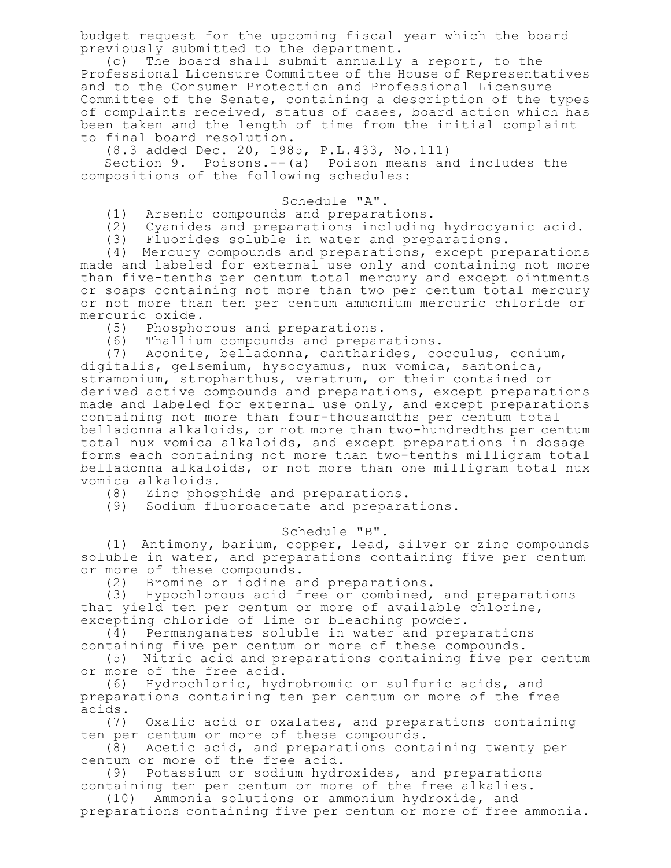budget request for the upcoming fiscal year which the board previously submitted to the department.

(c) The board shall submit annually a report, to the Professional Licensure Committee of the House of Representatives and to the Consumer Protection and Professional Licensure Committee of the Senate, containing a description of the types of complaints received, status of cases, board action which has been taken and the length of time from the initial complaint to final board resolution.

(8.3 added Dec. 20, 1985, P.L.433, No.111)

Section 9. Poisons.--(a) Poison means and includes the compositions of the following schedules:

## Schedule "A".

(1) Arsenic compounds and preparations.

(2) Cyanides and preparations including hydrocyanic acid.

(3) Fluorides soluble in water and preparations.

(4) Mercury compounds and preparations, except preparations made and labeled for external use only and containing not more than five-tenths per centum total mercury and except ointments or soaps containing not more than two per centum total mercury or not more than ten per centum ammonium mercuric chloride or mercuric oxide.

(5) Phosphorous and preparations.

(6) Thallium compounds and preparations.

(7) Aconite, belladonna, cantharides, cocculus, conium, digitalis, gelsemium, hysocyamus, nux vomica, santonica, stramonium, strophanthus, veratrum, or their contained or derived active compounds and preparations, except preparations made and labeled for external use only, and except preparations containing not more than four-thousandths per centum total belladonna alkaloids, or not more than two-hundredths per centum total nux vomica alkaloids, and except preparations in dosage forms each containing not more than two-tenths milligram total belladonna alkaloids, or not more than one milligram total nux vomica alkaloids.

(8) Zinc phosphide and preparations.

(9) Sodium fluoroacetate and preparations.

## Schedule "B".

(1) Antimony, barium, copper, lead, silver or zinc compounds soluble in water, and preparations containing five per centum or more of these compounds.

(2) Bromine or iodine and preparations.

(3) Hypochlorous acid free or combined, and preparations that yield ten per centum or more of available chlorine, excepting chloride of lime or bleaching powder.

(4) Permanganates soluble in water and preparations containing five per centum or more of these compounds.

(5) Nitric acid and preparations containing five per centum or more of the free acid.

(6) Hydrochloric, hydrobromic or sulfuric acids, and preparations containing ten per centum or more of the free acids.

(7) Oxalic acid or oxalates, and preparations containing ten per centum or more of these compounds.

(8) Acetic acid, and preparations containing twenty per centum or more of the free acid.

(9) Potassium or sodium hydroxides, and preparations containing ten per centum or more of the free alkalies.

(10) Ammonia solutions or ammonium hydroxide, and preparations containing five per centum or more of free ammonia.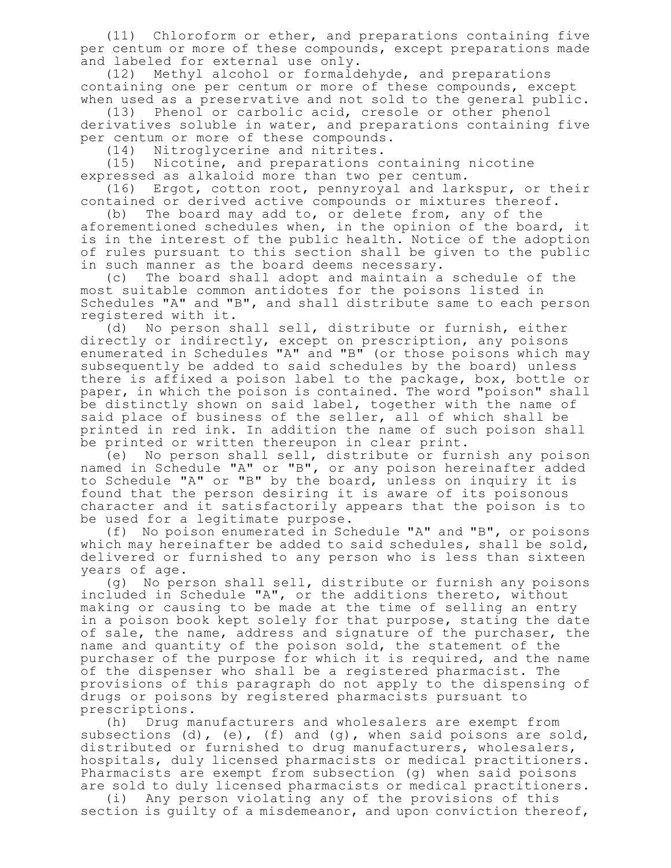(11) Chloroform or ether, and preparations containing five per centum or more of these compounds, except preparations made and labeled for external use only.

(12) Methyl alcohol or formaldehyde, and preparations containing one per centum or more of these compounds, except when used as a preservative and not sold to the general public.

(13) Phenol or carbolic acid, cresole or other phenol derivatives soluble in water, and preparations containing five per centum or more of these compounds.

(14) Nitroglycerine and nitrites.<br>(15) Nicotine, and preparations c Nicotine, and preparations containing nicotine expressed as alkaloid more than two per centum.

(16) Ergot, cotton root, pennyroyal and larkspur, or their contained or derived active compounds or mixtures thereof.

(b) The board may add to, or delete from, any of the aforementioned schedules when, in the opinion of the board, it is in the interest of the public health. Notice of the adoption of rules pursuant to this section shall be given to the public in such manner as the board deems necessary.

(c) The board shall adopt and maintain a schedule of the most suitable common antidotes for the poisons listed in Schedules "A" and "B", and shall distribute same to each person registered with it.

(d) No person shall sell, distribute or furnish, either directly or indirectly, except on prescription, any poisons enumerated in Schedules "A" and "B" (or those poisons which may subsequently be added to said schedules by the board) unless there is affixed a poison label to the package, box, bottle or paper, in which the poison is contained. The word "poison" shall be distinctly shown on said label, together with the name of said place of business of the seller, all of which shall be printed in red ink. In addition the name of such poison shall be printed or written thereupon in clear print.

(e) No person shall sell, distribute or furnish any poison named in Schedule "A" or "B", or any poison hereinafter added to Schedule "A" or "B" by the board, unless on inquiry it is found that the person desiring it is aware of its poisonous character and it satisfactorily appears that the poison is to be used for a legitimate purpose.

(f) No poison enumerated in Schedule "A" and "B", or poisons which may hereinafter be added to said schedules, shall be sold, delivered or furnished to any person who is less than sixteen years of age.

(g) No person shall sell, distribute or furnish any poisons included in Schedule "A", or the additions thereto, without making or causing to be made at the time of selling an entry in a poison book kept solely for that purpose, stating the date of sale, the name, address and signature of the purchaser, the name and quantity of the poison sold, the statement of the purchaser of the purpose for which it is required, and the name of the dispenser who shall be a registered pharmacist. The provisions of this paragraph do not apply to the dispensing of drugs or poisons by registered pharmacists pursuant to prescriptions.

(h) Drug manufacturers and wholesalers are exempt from subsections (d), (e), (f) and (g), when said poisons are sold, distributed or furnished to drug manufacturers, wholesalers, hospitals, duly licensed pharmacists or medical practitioners. Pharmacists are exempt from subsection (g) when said poisons are sold to duly licensed pharmacists or medical practitioners.

(i) Any person violating any of the provisions of this section is guilty of a misdemeanor, and upon conviction thereof,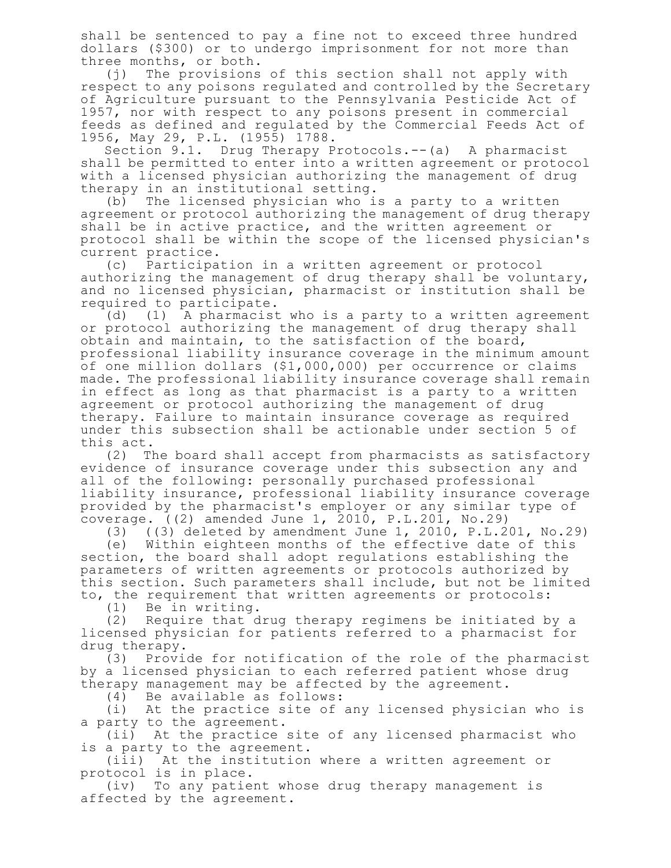shall be sentenced to pay a fine not to exceed three hundred dollars (\$300) or to undergo imprisonment for not more than three months, or both.

(j) The provisions of this section shall not apply with respect to any poisons regulated and controlled by the Secretary of Agriculture pursuant to the Pennsylvania Pesticide Act of 1957, nor with respect to any poisons present in commercial feeds as defined and regulated by the Commercial Feeds Act of 1956, May 29, P.L. (1955) 1788.

Section 9.1. Drug Therapy Protocols.--(a) A pharmacist shall be permitted to enter into a written agreement or protocol with a licensed physician authorizing the management of drug therapy in an institutional setting.

(b) The licensed physician who is a party to a written agreement or protocol authorizing the management of drug therapy shall be in active practice, and the written agreement or protocol shall be within the scope of the licensed physician's current practice.

(c) Participation in a written agreement or protocol authorizing the management of drug therapy shall be voluntary, and no licensed physician, pharmacist or institution shall be required to participate.

(d) (1) A pharmacist who is a party to a written agreement or protocol authorizing the management of drug therapy shall obtain and maintain, to the satisfaction of the board, professional liability insurance coverage in the minimum amount of one million dollars (\$1,000,000) per occurrence or claims made. The professional liability insurance coverage shall remain in effect as long as that pharmacist is a party to a written agreement or protocol authorizing the management of drug therapy. Failure to maintain insurance coverage as required under this subsection shall be actionable under section 5 of this act.

(2) The board shall accept from pharmacists as satisfactory evidence of insurance coverage under this subsection any and all of the following: personally purchased professional liability insurance, professional liability insurance coverage provided by the pharmacist's employer or any similar type of coverage.  $(2)$  amended June 1, 2010, P.L.201, No.29)

 $(3)$  ((3) deleted by amendment June 1, 2010, P.L.201, No.29)

(e) Within eighteen months of the effective date of this section, the board shall adopt regulations establishing the parameters of written agreements or protocols authorized by this section. Such parameters shall include, but not be limited to, the requirement that written agreements or protocols:

(1) Be in writing.

(2) Require that drug therapy regimens be initiated by a licensed physician for patients referred to a pharmacist for drug therapy.

(3) Provide for notification of the role of the pharmacist by a licensed physician to each referred patient whose drug therapy management may be affected by the agreement.

(4) Be available as follows:

(i) At the practice site of any licensed physician who is a party to the agreement.

(ii) At the practice site of any licensed pharmacist who is a party to the agreement.

(iii) At the institution where a written agreement or protocol is in place.

(iv) To any patient whose drug therapy management is affected by the agreement.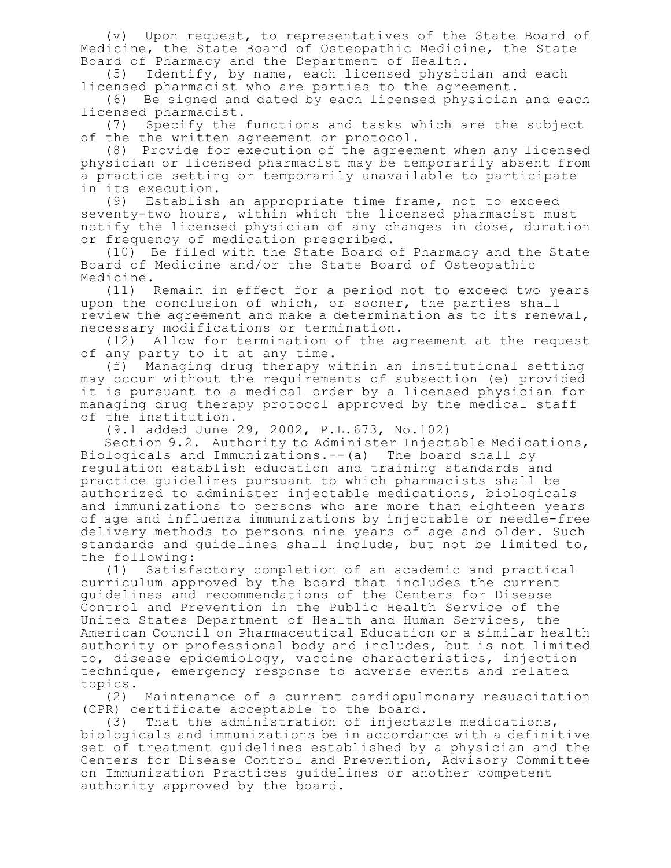(v) Upon request, to representatives of the State Board of Medicine, the State Board of Osteopathic Medicine, the State Board of Pharmacy and the Department of Health.

(5) Identify, by name, each licensed physician and each licensed pharmacist who are parties to the agreement.

(6) Be signed and dated by each licensed physician and each licensed pharmacist.<br>(7) Specify the

Specify the functions and tasks which are the subject of the the written agreement or protocol.

(8) Provide for execution of the agreement when any licensed physician or licensed pharmacist may be temporarily absent from a practice setting or temporarily unavailable to participate in its execution.

(9) Establish an appropriate time frame, not to exceed seventy-two hours, within which the licensed pharmacist must notify the licensed physician of any changes in dose, duration or frequency of medication prescribed.

(10) Be filed with the State Board of Pharmacy and the State Board of Medicine and/or the State Board of Osteopathic Medicine.

(11) Remain in effect for a period not to exceed two years upon the conclusion of which, or sooner, the parties shall review the agreement and make a determination as to its renewal, necessary modifications or termination.

(12) Allow for termination of the agreement at the request of any party to it at any time.

(f) Managing drug therapy within an institutional setting may occur without the requirements of subsection (e) provided it is pursuant to a medical order by a licensed physician for managing drug therapy protocol approved by the medical staff of the institution.

(9.1 added June 29, 2002, P.L.673, No.102)

Section 9.2. Authority to Administer Injectable Medications, Biologicals and Immunizations.--(a) The board shall by regulation establish education and training standards and practice guidelines pursuant to which pharmacists shall be authorized to administer injectable medications, biologicals and immunizations to persons who are more than eighteen years of age and influenza immunizations by injectable or needle-free delivery methods to persons nine years of age and older. Such standards and guidelines shall include, but not be limited to, the following:

(1) Satisfactory completion of an academic and practical curriculum approved by the board that includes the current guidelines and recommendations of the Centers for Disease Control and Prevention in the Public Health Service of the United States Department of Health and Human Services, the American Council on Pharmaceutical Education or a similar health authority or professional body and includes, but is not limited to, disease epidemiology, vaccine characteristics, injection technique, emergency response to adverse events and related topics.

(2) Maintenance of a current cardiopulmonary resuscitation (CPR) certificate acceptable to the board.

(3) That the administration of injectable medications, biologicals and immunizations be in accordance with a definitive set of treatment guidelines established by a physician and the Centers for Disease Control and Prevention, Advisory Committee on Immunization Practices guidelines or another competent authority approved by the board.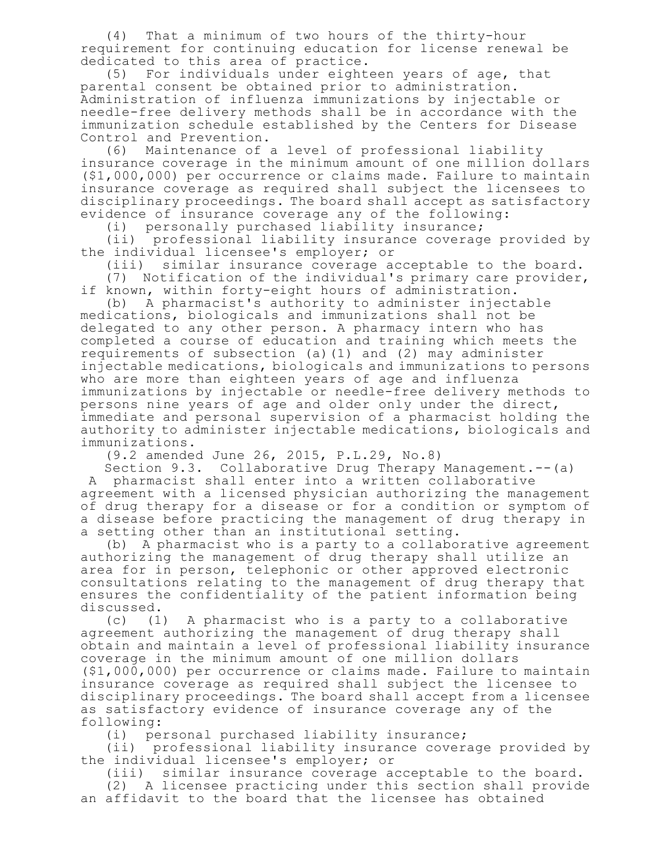(4) That a minimum of two hours of the thirty-hour requirement for continuing education for license renewal be dedicated to this area of practice.

(5) For individuals under eighteen years of age, that parental consent be obtained prior to administration. Administration of influenza immunizations by injectable or needle-free delivery methods shall be in accordance with the immunization schedule established by the Centers for Disease Control and Prevention.

(6) Maintenance of a level of professional liability insurance coverage in the minimum amount of one million dollars (\$1,000,000) per occurrence or claims made. Failure to maintain insurance coverage as required shall subject the licensees to disciplinary proceedings. The board shall accept as satisfactory evidence of insurance coverage any of the following:

(i) personally purchased liability insurance;

(ii) professional liability insurance coverage provided by the individual licensee's employer; or

(iii) similar insurance coverage acceptable to the board. (7) Notification of the individual's primary care provider,

if known, within forty-eight hours of administration.

(b) A pharmacist's authority to administer injectable medications, biologicals and immunizations shall not be delegated to any other person. A pharmacy intern who has completed a course of education and training which meets the requirements of subsection (a)(1) and (2) may administer injectable medications, biologicals and immunizations to persons who are more than eighteen years of age and influenza immunizations by injectable or needle-free delivery methods to persons nine years of age and older only under the direct, immediate and personal supervision of a pharmacist holding the authority to administer injectable medications, biologicals and immunizations.

(9.2 amended June 26, 2015, P.L.29, No.8)

Section 9.3. Collaborative Drug Therapy Management.--(a) A pharmacist shall enter into a written collaborative agreement with a licensed physician authorizing the management of drug therapy for a disease or for a condition or symptom of a disease before practicing the management of drug therapy in a setting other than an institutional setting.

(b) A pharmacist who is a party to a collaborative agreement authorizing the management of drug therapy shall utilize an area for in person, telephonic or other approved electronic consultations relating to the management of drug therapy that ensures the confidentiality of the patient information being discussed.

(c) (1) A pharmacist who is a party to a collaborative agreement authorizing the management of drug therapy shall obtain and maintain a level of professional liability insurance coverage in the minimum amount of one million dollars (\$1,000,000) per occurrence or claims made. Failure to maintain insurance coverage as required shall subject the licensee to disciplinary proceedings. The board shall accept from a licensee as satisfactory evidence of insurance coverage any of the following:

(i) personal purchased liability insurance;

(ii) professional liability insurance coverage provided by the individual licensee's employer; or

(iii) similar insurance coverage acceptable to the board.

(2) A licensee practicing under this section shall provide an affidavit to the board that the licensee has obtained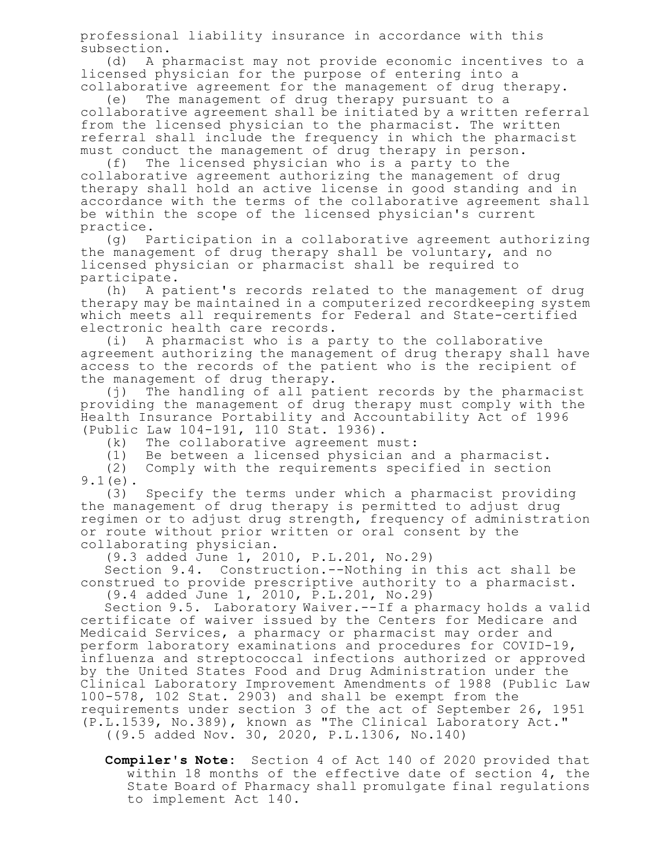professional liability insurance in accordance with this subsection.

(d) A pharmacist may not provide economic incentives to a licensed physician for the purpose of entering into a

collaborative agreement for the management of drug therapy.<br>(e) The management of drug therapy pursuant to a The management of drug therapy pursuant to a collaborative agreement shall be initiated by a written referral from the licensed physician to the pharmacist. The written referral shall include the frequency in which the pharmacist must conduct the management of drug therapy in person.<br>(f) The licensed physician who is a party to the

The licensed physician who is a party to the collaborative agreement authorizing the management of drug therapy shall hold an active license in good standing and in accordance with the terms of the collaborative agreement shall be within the scope of the licensed physician's current practice.

(g) Participation in a collaborative agreement authorizing the management of drug therapy shall be voluntary, and no licensed physician or pharmacist shall be required to participate.

(h) A patient's records related to the management of drug therapy may be maintained in a computerized recordkeeping system which meets all requirements for Federal and State-certified electronic health care records.

(i) A pharmacist who is a party to the collaborative agreement authorizing the management of drug therapy shall have access to the records of the patient who is the recipient of the management of drug therapy.

(j) The handling of all patient records by the pharmacist providing the management of drug therapy must comply with the Health Insurance Portability and Accountability Act of 1996 (Public Law 104-191, 110 Stat. 1936).

(k) The collaborative agreement must:

(1) Be between a licensed physician and a pharmacist. Comply with the requirements specified in section 9.1(e).

(3) Specify the terms under which a pharmacist providing the management of drug therapy is permitted to adjust drug regimen or to adjust drug strength, frequency of administration or route without prior written or oral consent by the collaborating physician.

(9.3 added June 1, 2010, P.L.201, No.29)

Section 9.4. Construction.--Nothing in this act shall be construed to provide prescriptive authority to a pharmacist. (9.4 added June 1, 2010, P.L.201, No.29)

Section 9.5. Laboratory Waiver.--If a pharmacy holds a valid certificate of waiver issued by the Centers for Medicare and Medicaid Services, a pharmacy or pharmacist may order and perform laboratory examinations and procedures for COVID-19, influenza and streptococcal infections authorized or approved by the United States Food and Drug Administration under the Clinical Laboratory Improvement Amendments of 1988 (Public Law 100-578, 102 Stat. 2903) and shall be exempt from the requirements under section 3 of the act of September 26, 1951 (P.L.1539, No.389), known as "The Clinical Laboratory Act."

((9.5 added Nov. 30, 2020, P.L.1306, No.140)

**Compiler's Note:** Section 4 of Act 140 of 2020 provided that within 18 months of the effective date of section 4, the State Board of Pharmacy shall promulgate final regulations to implement Act 140.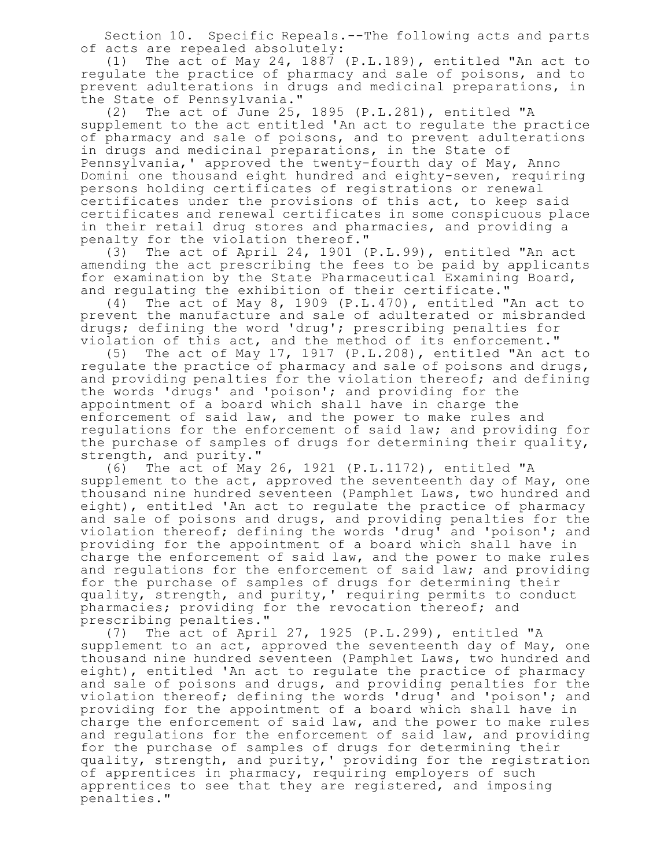Section 10. Specific Repeals.--The following acts and parts of acts are repealed absolutely:

(1) The act of May 24, 1887 (P.L.189), entitled "An act to regulate the practice of pharmacy and sale of poisons, and to prevent adulterations in drugs and medicinal preparations, in the State of Pennsylvania."

(2) The act of June 25, 1895 (P.L.281), entitled "A supplement to the act entitled 'An act to regulate the practice of pharmacy and sale of poisons, and to prevent adulterations in drugs and medicinal preparations, in the State of Pennsylvania,' approved the twenty-fourth day of May, Anno Domini one thousand eight hundred and eighty-seven, requiring persons holding certificates of registrations or renewal certificates under the provisions of this act, to keep said certificates and renewal certificates in some conspicuous place in their retail drug stores and pharmacies, and providing a penalty for the violation thereof."

(3) The act of April 24, 1901 (P.L.99), entitled "An act amending the act prescribing the fees to be paid by applicants for examination by the State Pharmaceutical Examining Board, and regulating the exhibition of their certificate."

(4) The act of May 8, 1909 (P.L.470), entitled "An act to prevent the manufacture and sale of adulterated or misbranded drugs; defining the word 'drug'; prescribing penalties for violation of this act, and the method of its enforcement."

(5) The act of May 17, 1917 (P.L.208), entitled "An act to regulate the practice of pharmacy and sale of poisons and drugs, and providing penalties for the violation thereof; and defining the words 'drugs' and 'poison'; and providing for the appointment of a board which shall have in charge the enforcement of said law, and the power to make rules and regulations for the enforcement of said law; and providing for the purchase of samples of drugs for determining their quality, strength, and purity."

(6) The act of May 26, 1921 (P.L.1172), entitled "A supplement to the act, approved the seventeenth day of May, one thousand nine hundred seventeen (Pamphlet Laws, two hundred and eight), entitled 'An act to regulate the practice of pharmacy and sale of poisons and drugs, and providing penalties for the violation thereof; defining the words 'drug' and 'poison'; and providing for the appointment of a board which shall have in charge the enforcement of said law, and the power to make rules and regulations for the enforcement of said law; and providing for the purchase of samples of drugs for determining their quality, strength, and purity,' requiring permits to conduct pharmacies; providing for the revocation thereof; and prescribing penalties."

(7) The act of April 27, 1925 (P.L.299), entitled "A supplement to an act, approved the seventeenth day of May, one thousand nine hundred seventeen (Pamphlet Laws, two hundred and eight), entitled 'An act to regulate the practice of pharmacy and sale of poisons and drugs, and providing penalties for the violation thereof; defining the words 'drug' and 'poison'; and providing for the appointment of a board which shall have in charge the enforcement of said law, and the power to make rules and regulations for the enforcement of said law, and providing for the purchase of samples of drugs for determining their quality, strength, and purity,' providing for the registration of apprentices in pharmacy, requiring employers of such apprentices to see that they are registered, and imposing penalties."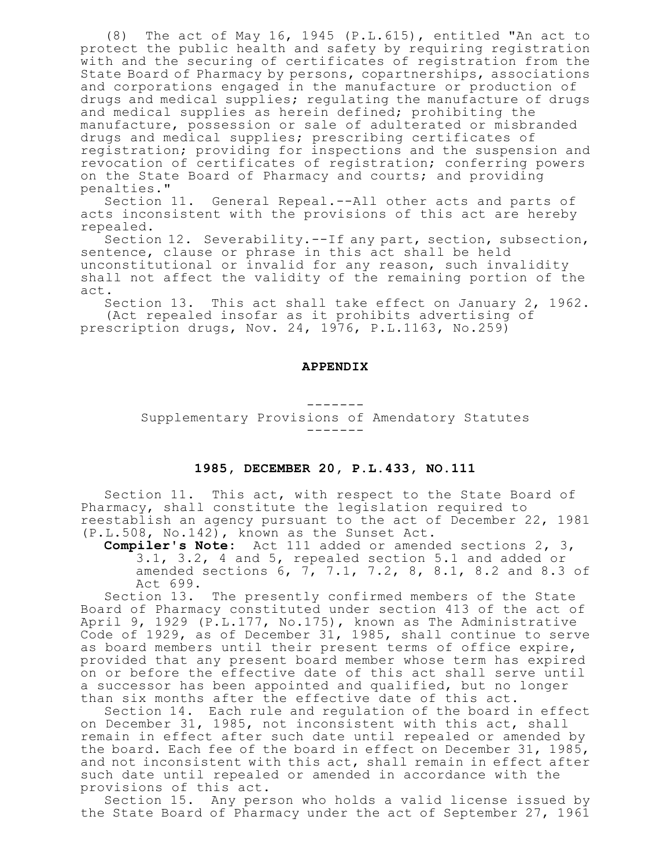(8) The act of May 16, 1945 (P.L.615), entitled "An act to protect the public health and safety by requiring registration with and the securing of certificates of registration from the State Board of Pharmacy by persons, copartnerships, associations and corporations engaged in the manufacture or production of drugs and medical supplies; regulating the manufacture of drugs and medical supplies as herein defined; prohibiting the manufacture, possession or sale of adulterated or misbranded drugs and medical supplies; prescribing certificates of registration; providing for inspections and the suspension and revocation of certificates of registration; conferring powers on the State Board of Pharmacy and courts; and providing penalties."

Section 11. General Repeal.--All other acts and parts of acts inconsistent with the provisions of this act are hereby repealed.

Section 12. Severability.--If any part, section, subsection, sentence, clause or phrase in this act shall be held unconstitutional or invalid for any reason, such invalidity shall not affect the validity of the remaining portion of the act.

Section 13. This act shall take effect on January 2, 1962. (Act repealed insofar as it prohibits advertising of prescription drugs, Nov. 24, 1976, P.L.1163, No.259)

#### **APPENDIX**

------- Supplementary Provisions of Amendatory Statutes -------

### **1985, DECEMBER 20, P.L.433, NO.111**

Section 11. This act, with respect to the State Board of Pharmacy, shall constitute the legislation required to reestablish an agency pursuant to the act of December 22, 1981 (P.L.508, No.142), known as the Sunset Act.

**Compiler's Note:** Act 111 added or amended sections 2, 3, 3.1, 3.2, 4 and 5, repealed section 5.1 and added or amended sections 6, 7, 7.1, 7.2, 8, 8.1, 8.2 and 8.3 of Act 699.

Section 13. The presently confirmed members of the State Board of Pharmacy constituted under section 413 of the act of April 9, 1929 (P.L.177, No.175), known as The Administrative Code of 1929, as of December 31, 1985, shall continue to serve as board members until their present terms of office expire, provided that any present board member whose term has expired on or before the effective date of this act shall serve until a successor has been appointed and qualified, but no longer than six months after the effective date of this act.

Section 14. Each rule and regulation of the board in effect on December 31, 1985, not inconsistent with this act, shall remain in effect after such date until repealed or amended by the board. Each fee of the board in effect on December 31, 1985, and not inconsistent with this act, shall remain in effect after such date until repealed or amended in accordance with the provisions of this act.

Section 15. Any person who holds a valid license issued by the State Board of Pharmacy under the act of September 27, 1961